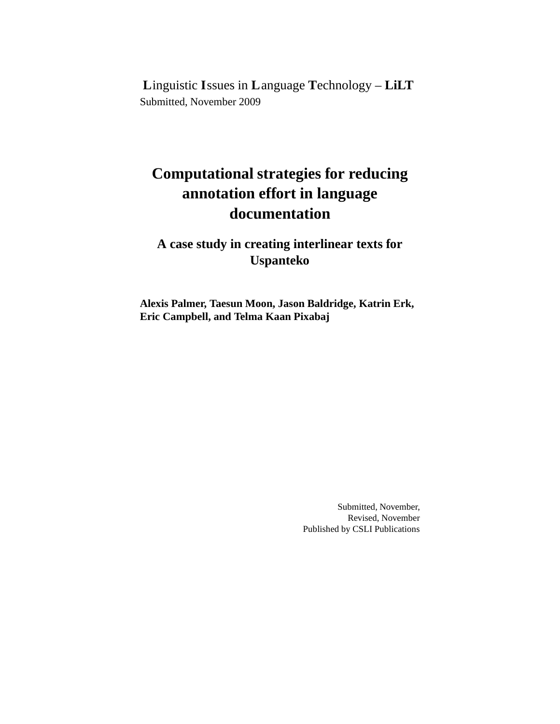**L**inguistic **I**ssues in **L**anguage **T**echnology – **LiLT** Submitted, November 2009

# **Computational strategies for reducing annotation effort in language documentation**

# **A case study in creating interlinear texts for Uspanteko**

**Alexis Palmer, Taesun Moon, Jason Baldridge, Katrin Erk, Eric Campbell, and Telma Kaan Pixabaj**

> Submitted, November, Revised, November Published by CSLI Publications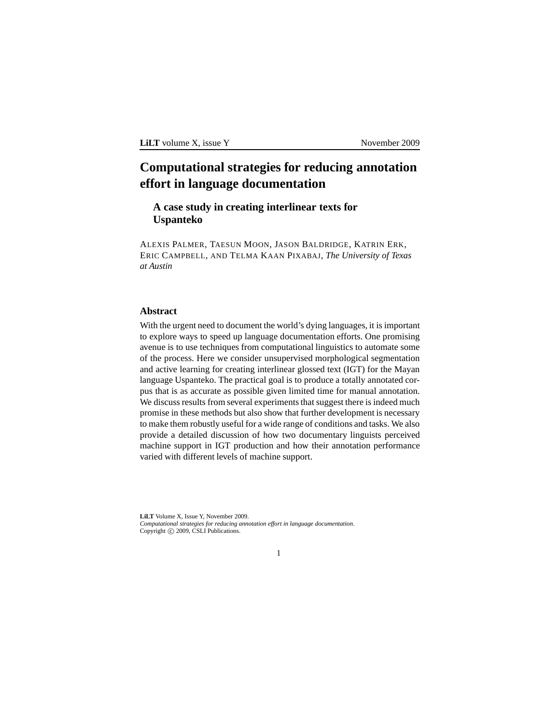**LiLT** volume X, issue Y November 2009

# **Computational strategies for reducing annotation effort in language documentation**

# **A case study in creating interlinear texts for Uspanteko**

ALEXIS PALMER, TAESUN MOON, JASON BALDRIDGE, KATRIN ERK, ERIC CAMPBELL, AND TELMA KAAN PIXABAJ, *The University of Texas at Austin*

# **Abstract**

With the urgent need to document the world's dying languages, it is important to explore ways to speed up language documentation efforts. One promising avenue is to use techniques from computational linguistics to automate some of the process. Here we consider unsupervised morphological segmentation and active learning for creating interlinear glossed text (IGT) for the Mayan language Uspanteko. The practical goal is to produce a totally annotated corpus that is as accurate as possible given limited time for manual annotation. We discuss results from several experiments that suggest there is indeed much promise in these methods but also show that further development is necessary to make them robustly useful for a wide range of conditions and tasks. We also provide a detailed discussion of how two documentary linguists perceived machine support in IGT production and how their annotation performance varied with different levels of machine support.

**LiLT** Volume X, Issue Y, November 2009. *Computational strategies for reducing annotation effort in language documentation*. Copyright (C) 2009, CSLI Publications.

1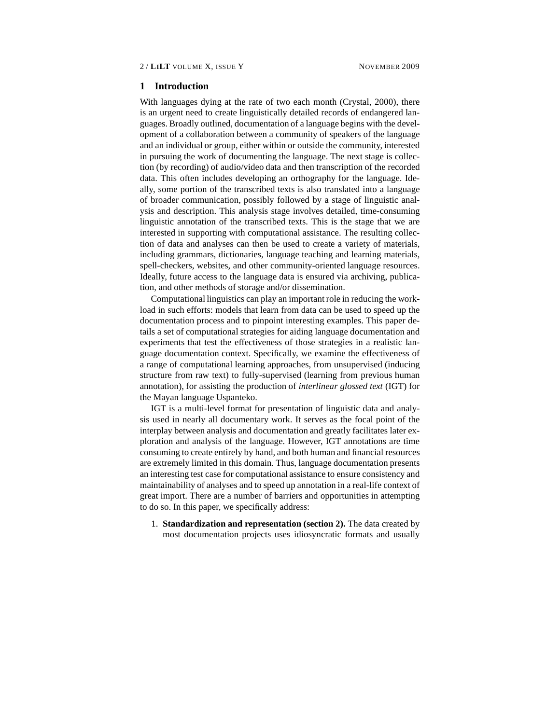#### **1 Introduction**

With languages dying at the rate of two each month (Crystal, 2000), there is an urgent need to create linguistically detailed records of endangered languages. Broadly outlined, documentation of a language begins with the development of a collaboration between a community of speakers of the language and an individual or group, either within or outside the community, interested in pursuing the work of documenting the language. The next stage is collection (by recording) of audio/video data and then transcription of the recorded data. This often includes developing an orthography for the language. Ideally, some portion of the transcribed texts is also translated into a language of broader communication, possibly followed by a stage of linguistic analysis and description. This analysis stage involves detailed, time-consuming linguistic annotation of the transcribed texts. This is the stage that we are interested in supporting with computational assistance. The resulting collection of data and analyses can then be used to create a variety of materials, including grammars, dictionaries, language teaching and learning materials, spell-checkers, websites, and other community-oriented language resources. Ideally, future access to the language data is ensured via archiving, publication, and other methods of storage and/or dissemination.

Computational linguistics can play an important role in reducing the workload in such efforts: models that learn from data can be used to speed up the documentation process and to pinpoint interesting examples. This paper details a set of computational strategies for aiding language documentation and experiments that test the effectiveness of those strategies in a realistic language documentation context. Specifically, we examine the effectiveness of a range of computational learning approaches, from unsupervised (inducing structure from raw text) to fully-supervised (learning from previous human annotation), for assisting the production of *interlinear glossed text* (IGT) for the Mayan language Uspanteko.

IGT is a multi-level format for presentation of linguistic data and analysis used in nearly all documentary work. It serves as the focal point of the interplay between analysis and documentation and greatly facilitates later exploration and analysis of the language. However, IGT annotations are time consuming to create entirely by hand, and both human and financial resources are extremely limited in this domain. Thus, language documentation presents an interesting test case for computational assistance to ensure consistency and maintainability of analyses and to speed up annotation in a real-life context of great import. There are a number of barriers and opportunities in attempting to do so. In this paper, we specifically address:

1. **Standardization and representation (section 2).** The data created by most documentation projects uses idiosyncratic formats and usually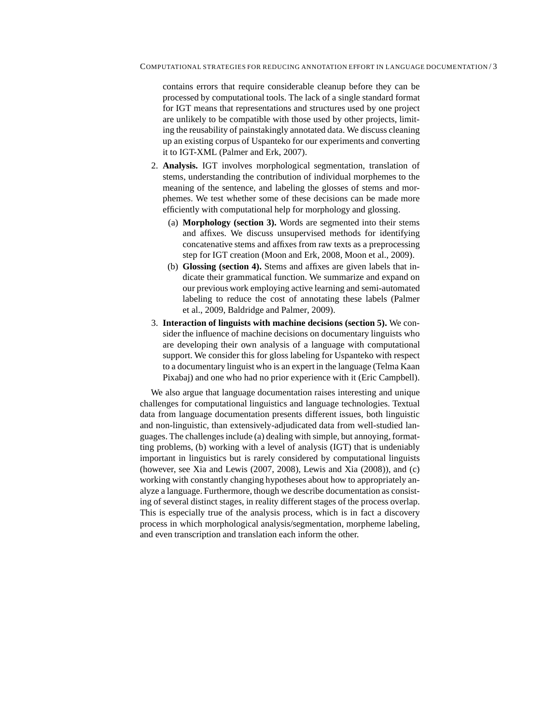contains errors that require considerable cleanup before they can be processed by computational tools. The lack of a single standard format for IGT means that representations and structures used by one project are unlikely to be compatible with those used by other projects, limiting the reusability of painstakingly annotated data. We discuss cleaning up an existing corpus of Uspanteko for our experiments and converting it to IGT-XML (Palmer and Erk, 2007).

- 2. **Analysis.** IGT involves morphological segmentation, translation of stems, understanding the contribution of individual morphemes to the meaning of the sentence, and labeling the glosses of stems and morphemes. We test whether some of these decisions can be made more efficiently with computational help for morphology and glossing.
	- (a) **Morphology (section 3).** Words are segmented into their stems and affixes. We discuss unsupervised methods for identifying concatenative stems and affixes from raw texts as a preprocessing step for IGT creation (Moon and Erk, 2008, Moon et al., 2009).
	- (b) **Glossing (section 4).** Stems and affixes are given labels that indicate their grammatical function. We summarize and expand on our previous work employing active learning and semi-automated labeling to reduce the cost of annotating these labels (Palmer et al., 2009, Baldridge and Palmer, 2009).
- 3. **Interaction of linguists with machine decisions (section 5).** We consider the influence of machine decisions on documentary linguists who are developing their own analysis of a language with computational support. We consider this for gloss labeling for Uspanteko with respect to a documentary linguist who is an expert in the language (Telma Kaan Pixabaj) and one who had no prior experience with it (Eric Campbell).

We also argue that language documentation raises interesting and unique challenges for computational linguistics and language technologies. Textual data from language documentation presents different issues, both linguistic and non-linguistic, than extensively-adjudicated data from well-studied languages. The challenges include (a) dealing with simple, but annoying, formatting problems, (b) working with a level of analysis (IGT) that is undeniably important in linguistics but is rarely considered by computational linguists (however, see Xia and Lewis (2007, 2008), Lewis and Xia (2008)), and (c) working with constantly changing hypotheses about how to appropriately analyze a language. Furthermore, though we describe documentation as consisting of several distinct stages, in reality different stages of the process overlap. This is especially true of the analysis process, which is in fact a discovery process in which morphological analysis/segmentation, morpheme labeling, and even transcription and translation each inform the other.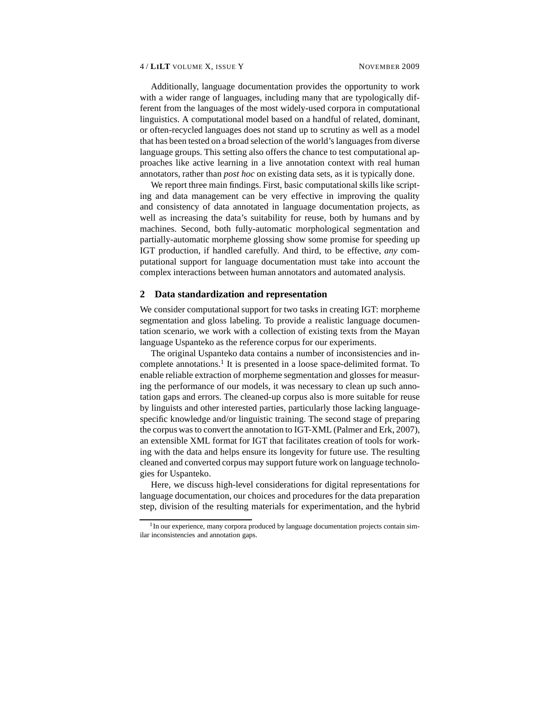Additionally, language documentation provides the opportunity to work with a wider range of languages, including many that are typologically different from the languages of the most widely-used corpora in computational linguistics. A computational model based on a handful of related, dominant, or often-recycled languages does not stand up to scrutiny as well as a model that has been tested on a broad selection of the world's languages from diverse language groups. This setting also offers the chance to test computational approaches like active learning in a live annotation context with real human annotators, rather than *post hoc* on existing data sets, as it is typically done.

We report three main findings. First, basic computational skills like scripting and data management can be very effective in improving the quality and consistency of data annotated in language documentation projects, as well as increasing the data's suitability for reuse, both by humans and by machines. Second, both fully-automatic morphological segmentation and partially-automatic morpheme glossing show some promise for speeding up IGT production, if handled carefully. And third, to be effective, *any* computational support for language documentation must take into account the complex interactions between human annotators and automated analysis.

#### **2 Data standardization and representation**

We consider computational support for two tasks in creating IGT: morpheme segmentation and gloss labeling. To provide a realistic language documentation scenario, we work with a collection of existing texts from the Mayan language Uspanteko as the reference corpus for our experiments.

The original Uspanteko data contains a number of inconsistencies and incomplete annotations.<sup>1</sup> It is presented in a loose space-delimited format. To enable reliable extraction of morpheme segmentation and glosses for measuring the performance of our models, it was necessary to clean up such annotation gaps and errors. The cleaned-up corpus also is more suitable for reuse by linguists and other interested parties, particularly those lacking languagespecific knowledge and/or linguistic training. The second stage of preparing the corpus was to convert the annotation to IGT-XML (Palmer and Erk, 2007), an extensible XML format for IGT that facilitates creation of tools for working with the data and helps ensure its longevity for future use. The resulting cleaned and converted corpus may support future work on language technologies for Uspanteko.

Here, we discuss high-level considerations for digital representations for language documentation, our choices and procedures for the data preparation step, division of the resulting materials for experimentation, and the hybrid

<sup>&</sup>lt;sup>1</sup> In our experience, many corpora produced by language documentation projects contain similar inconsistencies and annotation gaps.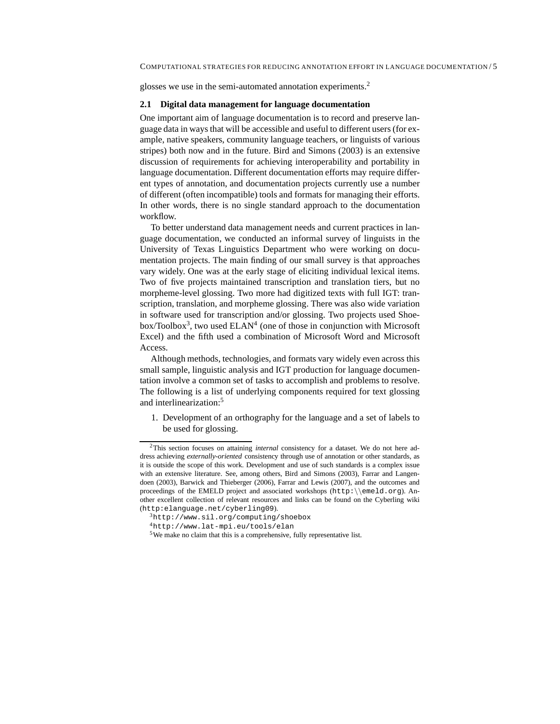glosses we use in the semi-automated annotation experiments.<sup>2</sup>

#### **2.1 Digital data management for language documentation**

One important aim of language documentation is to record and preserve language data in ways that will be accessible and useful to different users (for example, native speakers, community language teachers, or linguists of various stripes) both now and in the future. Bird and Simons (2003) is an extensive discussion of requirements for achieving interoperability and portability in language documentation. Different documentation efforts may require different types of annotation, and documentation projects currently use a number of different (often incompatible) tools and formats for managing their efforts. In other words, there is no single standard approach to the documentation workflow.

To better understand data management needs and current practices in language documentation, we conducted an informal survey of linguists in the University of Texas Linguistics Department who were working on documentation projects. The main finding of our small survey is that approaches vary widely. One was at the early stage of eliciting individual lexical items. Two of five projects maintained transcription and translation tiers, but no morpheme-level glossing. Two more had digitized texts with full IGT: transcription, translation, and morpheme glossing. There was also wide variation in software used for transcription and/or glossing. Two projects used Shoebox/Toolbox<sup>3</sup>, two used  $ELAN<sup>4</sup>$  (one of those in conjunction with Microsoft Excel) and the fifth used a combination of Microsoft Word and Microsoft Access.

Although methods, technologies, and formats vary widely even across this small sample, linguistic analysis and IGT production for language documentation involve a common set of tasks to accomplish and problems to resolve. The following is a list of underlying components required for text glossing and interlinearization:<sup>5</sup>

1. Development of an orthography for the language and a set of labels to be used for glossing.

<sup>2</sup>This section focuses on attaining *internal* consistency for a dataset. We do not here address achieving *externally-oriented* consistency through use of annotation or other standards, as it is outside the scope of this work. Development and use of such standards is a complex issue with an extensive literature. See, among others, Bird and Simons (2003), Farrar and Langendoen (2003), Barwick and Thieberger (2006), Farrar and Lewis (2007), and the outcomes and proceedings of the EMELD project and associated workshops (http:\\emeld.org). Another excellent collection of relevant resources and links can be found on the Cyberling wiki (http:elanguage.net/cyberling09).

<sup>3</sup>http://www.sil.org/computing/shoebox

<sup>4</sup>http://www.lat-mpi.eu/tools/elan

<sup>5</sup>We make no claim that this is a comprehensive, fully representative list.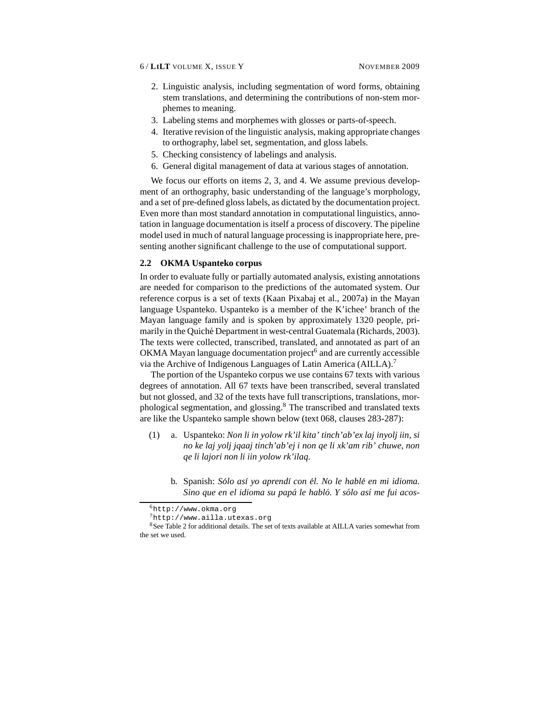- 2. Linguistic analysis, including segmentation of word forms, obtaining stem translations, and determining the contributions of non-stem morphemes to meaning.
- 3. Labeling stems and morphemes with glosses or parts-of-speech.
- 4. Iterative revision of the linguistic analysis, making appropriate changes to orthography, label set, segmentation, and gloss labels.
- 5. Checking consistency of labelings and analysis.
- 6. General digital management of data at various stages of annotation.

We focus our efforts on items 2, 3, and 4. We assume previous development of an orthography, basic understanding of the language's morphology, and a set of pre-defined gloss labels, as dictated by the documentation project. Even more than most standard annotation in computational linguistics, annotation in language documentation is itself a process of discovery. The pipeline model used in much of natural language processing is inappropriate here, presenting another significant challenge to the use of computational support.

### **2.2 OKMA Uspanteko corpus**

In order to evaluate fully or partially automated analysis, existing annotations are needed for comparison to the predictions of the automated system. Our reference corpus is a set of texts (Kaan Pixabaj et al., 2007a) in the Mayan language Uspanteko. Uspanteko is a member of the K'ichee' branch of the Mayan language family and is spoken by approximately 1320 people, primarily in the Quiché Department in west-central Guatemala (Richards, 2003). The texts were collected, transcribed, translated, and annotated as part of an OKMA Mayan language documentation project<sup>6</sup> and are currently accessible via the Archive of Indigenous Languages of Latin America (AILLA).<sup>7</sup>

The portion of the Uspanteko corpus we use contains 67 texts with various degrees of annotation. All 67 texts have been transcribed, several translated but not glossed, and 32 of the texts have full transcriptions, translations, morphological segmentation, and glossing.<sup>8</sup> The transcribed and translated texts are like the Uspanteko sample shown below (text 068, clauses 283-287):

- (1) a. Uspanteko: *Non li in yolow rk'il kita' tinch'ab'ex laj inyolj iin, si no ke laj yolj jqaaj tinch'ab'ej i non qe li xk'am rib' chuwe, non qe li lajori non li iin yolow rk'ilaq.*
	- b. Spanish: *Sólo así yo aprendí con él. No le hablé en mi idioma. Sino que en el idioma su papá le habló. Y sólo así me fui acos-*

<sup>6</sup>http://www.okma.org

<sup>7</sup>http://www.ailla.utexas.org

<sup>&</sup>lt;sup>8</sup>See Table 2 for additional details. The set of texts available at AILLA varies somewhat from the set we used.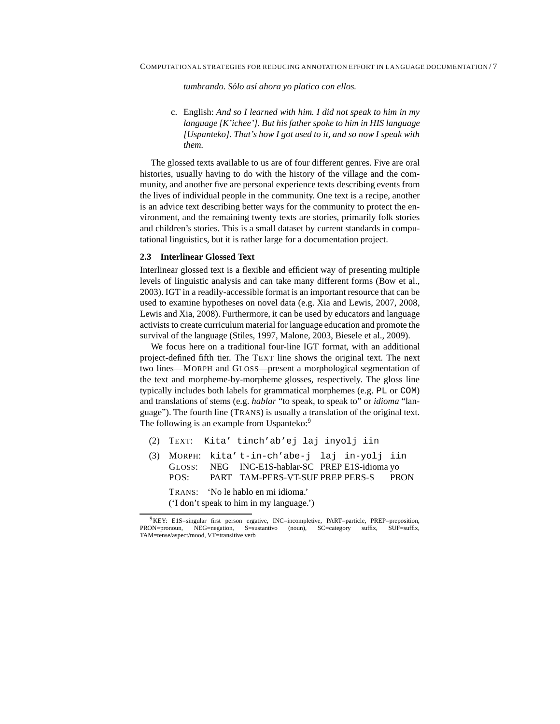*tumbrando. Sólo así ahora yo platico con ellos.* 

c. English: *And so I learned with him. I did not speak to him in my language [K'ichee']. But his father spoke to him in HIS language [Uspanteko]. That's how I got used to it, and so now I speak with them.*

The glossed texts available to us are of four different genres. Five are oral histories, usually having to do with the history of the village and the community, and another five are personal experience texts describing events from the lives of individual people in the community. One text is a recipe, another is an advice text describing better ways for the community to protect the environment, and the remaining twenty texts are stories, primarily folk stories and children's stories. This is a small dataset by current standards in computational linguistics, but it is rather large for a documentation project.

## **2.3 Interlinear Glossed Text**

Interlinear glossed text is a flexible and efficient way of presenting multiple levels of linguistic analysis and can take many different forms (Bow et al., 2003). IGT in a readily-accessible format is an important resource that can be used to examine hypotheses on novel data (e.g. Xia and Lewis, 2007, 2008, Lewis and Xia, 2008). Furthermore, it can be used by educators and language activists to create curriculum material for language education and promote the survival of the language (Stiles, 1997, Malone, 2003, Biesele et al., 2009).

We focus here on a traditional four-line IGT format, with an additional project-defined fifth tier. The TEXT line shows the original text. The next two lines—MORPH and GLOSS—present a morphological segmentation of the text and morpheme-by-morpheme glosses, respectively. The gloss line typically includes both labels for grammatical morphemes (e.g. PL or COM) and translations of stems (e.g. *hablar* "to speak, to speak to" or *idioma* "language"). The fourth line (TRANS) is usually a translation of the original text. The following is an example from Uspanteko:<sup>9</sup>

- (2) TEXT: Kita' tinch'ab'ej laj inyolj iin
- (3) MORPH: GLOSS: POS: kita' t-in-ch'abe-j laj in-yolj iin NEG PART TAM-PERS-VT-SUF PREP PERS-S INC-E1S-hablar-SC PREP E1S-idioma yo PRON TRANS: 'No le hablo en mi idioma.' ('I don't speak to him in my language.')

 $9$ KEY: E1S=singular first person ergative, INC=incompletive, PART=particle, PREP=preposition, PRON=pronoun, NEG=negation, S=sustantivo (noun), SC=category suffix, SUF=suffix, NEG=negation, S=sustantivo (noun), SC=category suffix, SUF=suffix, TAM=tense/aspect/mood, VT=transitive verb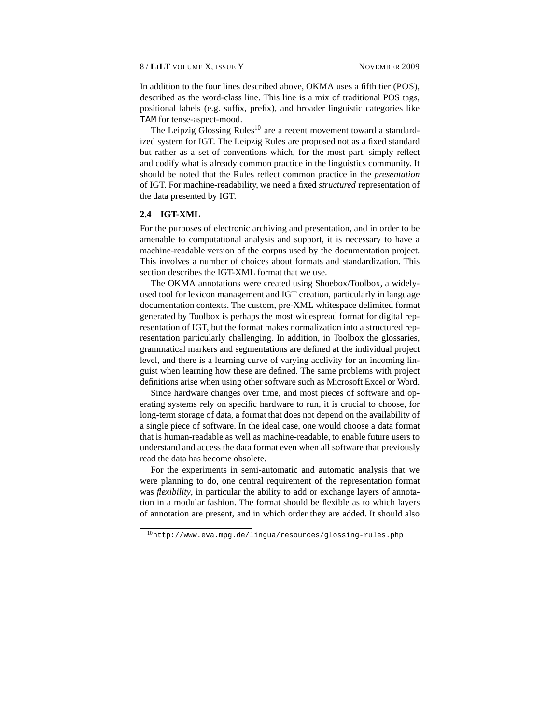In addition to the four lines described above, OKMA uses a fifth tier (POS), described as the word-class line. This line is a mix of traditional POS tags, positional labels (e.g. suffix, prefix), and broader linguistic categories like TAM for tense-aspect-mood.

The Leipzig Glossing Rules<sup>10</sup> are a recent movement toward a standardized system for IGT. The Leipzig Rules are proposed not as a fixed standard but rather as a set of conventions which, for the most part, simply reflect and codify what is already common practice in the linguistics community. It should be noted that the Rules reflect common practice in the *presentation* of IGT. For machine-readability, we need a fixed *structured* representation of the data presented by IGT.

#### **2.4 IGT-XML**

For the purposes of electronic archiving and presentation, and in order to be amenable to computational analysis and support, it is necessary to have a machine-readable version of the corpus used by the documentation project. This involves a number of choices about formats and standardization. This section describes the IGT-XML format that we use.

The OKMA annotations were created using Shoebox/Toolbox, a widelyused tool for lexicon management and IGT creation, particularly in language documentation contexts. The custom, pre-XML whitespace delimited format generated by Toolbox is perhaps the most widespread format for digital representation of IGT, but the format makes normalization into a structured representation particularly challenging. In addition, in Toolbox the glossaries, grammatical markers and segmentations are defined at the individual project level, and there is a learning curve of varying acclivity for an incoming linguist when learning how these are defined. The same problems with project definitions arise when using other software such as Microsoft Excel or Word.

Since hardware changes over time, and most pieces of software and operating systems rely on specific hardware to run, it is crucial to choose, for long-term storage of data, a format that does not depend on the availability of a single piece of software. In the ideal case, one would choose a data format that is human-readable as well as machine-readable, to enable future users to understand and access the data format even when all software that previously read the data has become obsolete.

For the experiments in semi-automatic and automatic analysis that we were planning to do, one central requirement of the representation format was *flexibility*, in particular the ability to add or exchange layers of annotation in a modular fashion. The format should be flexible as to which layers of annotation are present, and in which order they are added. It should also

<sup>10</sup>http://www.eva.mpg.de/lingua/resources/glossing-rules.php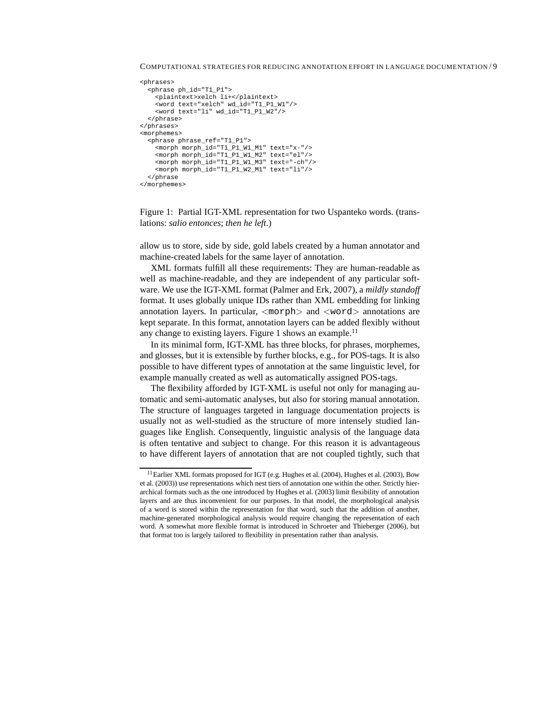COMPUTATIONAL STRATEGIES FOR REDUCING ANNOTATION EFFORT IN LANGUAGE DOCUMENTATION / 9

```
<phrases>
  <phrase ph_id="T1_P1">
    <plaintext>xelch li+</plaintext>
    <word text="xelch" wd_id="T1_P1_W1"/>
    <word text="li" wd_id="T1_P1_W2"/>
  </phrase>
</phrases>
<morphemes>
  <phrase phrase_ref="T1_P1">
    <morph morph_id="T1_P1_W1_M1" text="x-"/>
    <morph morph_id="T1_P1_W1_M2" text="el"/>
    <morph morph_id="T1_P1_W1_M3" text="-ch"/>
    <\hspace*{1.5mm} {\tt morph~morph\_id="T1\_P1\_W2\_M1"~texttt{text="li"}/\hspace*{1.5mm} ></phrase
</morphemes>
```
Figure 1: Partial IGT-XML representation for two Uspanteko words. (translations: *salio entonces*; *then he left*.)

allow us to store, side by side, gold labels created by a human annotator and machine-created labels for the same layer of annotation.

XML formats fulfill all these requirements: They are human-readable as well as machine-readable, and they are independent of any particular software. We use the IGT-XML format (Palmer and Erk, 2007), a *mildly standoff* format. It uses globally unique IDs rather than XML embedding for linking annotation layers. In particular,  $\langle \text{morph}\rangle$  and  $\langle \text{word}\rangle$  annotations are kept separate. In this format, annotation layers can be added flexibly without any change to existing layers. Figure 1 shows an example.<sup>11</sup>

In its minimal form, IGT-XML has three blocks, for phrases, morphemes, and glosses, but it is extensible by further blocks, e.g., for POS-tags. It is also possible to have different types of annotation at the same linguistic level, for example manually created as well as automatically assigned POS-tags.

The flexibility afforded by IGT-XML is useful not only for managing automatic and semi-automatic analyses, but also for storing manual annotation. The structure of languages targeted in language documentation projects is usually not as well-studied as the structure of more intensely studied languages like English. Consequently, linguistic analysis of the language data is often tentative and subject to change. For this reason it is advantageous to have different layers of annotation that are not coupled tightly, such that

<sup>&</sup>lt;sup>11</sup>Earlier XML formats proposed for IGT (e.g. Hughes et al. (2004), Hughes et al. (2003), Bow et al. (2003)) use representations which nest tiers of annotation one within the other. Strictly hierarchical formats such as the one introduced by Hughes et al. (2003) limit flexibility of annotation layers and are thus inconvenient for our purposes. In that model, the morphological analysis of a word is stored within the representation for that word, such that the addition of another, machine-generated morphological analysis would require changing the representation of each word. A somewhat more flexible format is introduced in Schroeter and Thieberger (2006), but that format too is largely tailored to flexibility in presentation rather than analysis.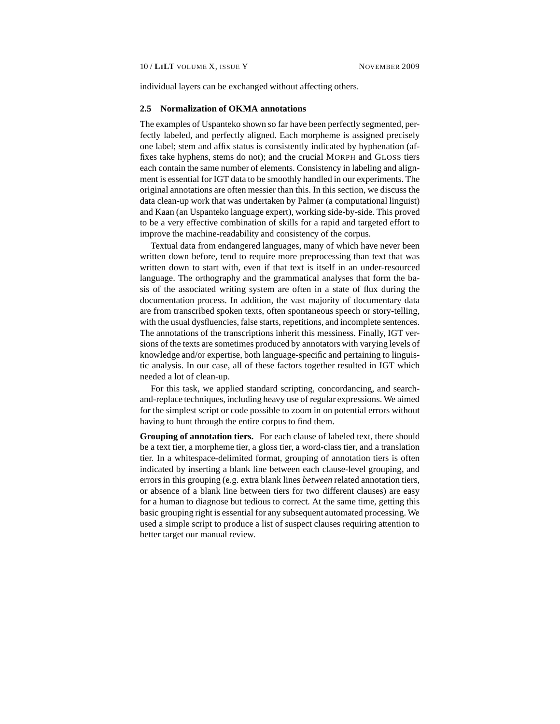individual layers can be exchanged without affecting others.

#### **2.5 Normalization of OKMA annotations**

The examples of Uspanteko shown so far have been perfectly segmented, perfectly labeled, and perfectly aligned. Each morpheme is assigned precisely one label; stem and affix status is consistently indicated by hyphenation (affixes take hyphens, stems do not); and the crucial MORPH and GLOSS tiers each contain the same number of elements. Consistency in labeling and alignment is essential for IGT data to be smoothly handled in our experiments. The original annotations are often messier than this. In this section, we discuss the data clean-up work that was undertaken by Palmer (a computational linguist) and Kaan (an Uspanteko language expert), working side-by-side. This proved to be a very effective combination of skills for a rapid and targeted effort to improve the machine-readability and consistency of the corpus.

Textual data from endangered languages, many of which have never been written down before, tend to require more preprocessing than text that was written down to start with, even if that text is itself in an under-resourced language. The orthography and the grammatical analyses that form the basis of the associated writing system are often in a state of flux during the documentation process. In addition, the vast majority of documentary data are from transcribed spoken texts, often spontaneous speech or story-telling, with the usual dysfluencies, false starts, repetitions, and incomplete sentences. The annotations of the transcriptions inherit this messiness. Finally, IGT versions of the texts are sometimes produced by annotators with varying levels of knowledge and/or expertise, both language-specific and pertaining to linguistic analysis. In our case, all of these factors together resulted in IGT which needed a lot of clean-up.

For this task, we applied standard scripting, concordancing, and searchand-replace techniques, including heavy use of regular expressions. We aimed for the simplest script or code possible to zoom in on potential errors without having to hunt through the entire corpus to find them.

**Grouping of annotation tiers.** For each clause of labeled text, there should be a text tier, a morpheme tier, a gloss tier, a word-class tier, and a translation tier. In a whitespace-delimited format, grouping of annotation tiers is often indicated by inserting a blank line between each clause-level grouping, and errors in this grouping (e.g. extra blank lines *between* related annotation tiers, or absence of a blank line between tiers for two different clauses) are easy for a human to diagnose but tedious to correct. At the same time, getting this basic grouping right is essential for any subsequent automated processing. We used a simple script to produce a list of suspect clauses requiring attention to better target our manual review.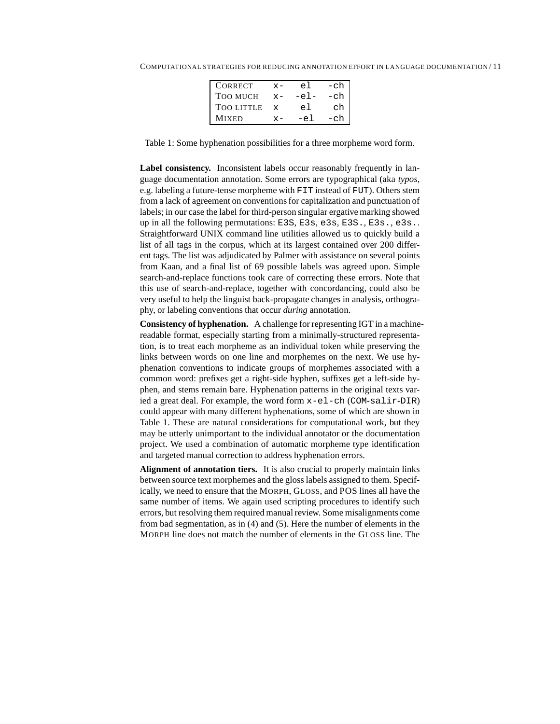| <b>CORRECT</b>    | $x -$        | еl     | -ch |
|-------------------|--------------|--------|-----|
| <b>TOO MUCH</b>   | $x -$        | $-el$  | -ch |
| <b>TOO LITTLE</b> | $\mathbf{x}$ | el     | ch  |
| <b>MIXED</b>      |              | $-e$ ] | -ch |

Table 1: Some hyphenation possibilities for a three morpheme word form.

**Label consistency.** Inconsistent labels occur reasonably frequently in language documentation annotation. Some errors are typographical (aka *typos*, e.g. labeling a future-tense morpheme with FIT instead of FUT). Others stem from a lack of agreement on conventions for capitalization and punctuation of labels; in our case the label for third-person singular ergative marking showed up in all the following permutations: E3S, E3s, e3s, E3S., E3s., e3s.. Straightforward UNIX command line utilities allowed us to quickly build a list of all tags in the corpus, which at its largest contained over 200 different tags. The list was adjudicated by Palmer with assistance on several points from Kaan, and a final list of 69 possible labels was agreed upon. Simple search-and-replace functions took care of correcting these errors. Note that this use of search-and-replace, together with concordancing, could also be very useful to help the linguist back-propagate changes in analysis, orthography, or labeling conventions that occur *during* annotation.

**Consistency of hyphenation.** A challenge for representing IGT in a machinereadable format, especially starting from a minimally-structured representation, is to treat each morpheme as an individual token while preserving the links between words on one line and morphemes on the next. We use hyphenation conventions to indicate groups of morphemes associated with a common word: prefixes get a right-side hyphen, suffixes get a left-side hyphen, and stems remain bare. Hyphenation patterns in the original texts varied a great deal. For example, the word form x-el-ch (COM-salir-DIR) could appear with many different hyphenations, some of which are shown in Table 1. These are natural considerations for computational work, but they may be utterly unimportant to the individual annotator or the documentation project. We used a combination of automatic morpheme type identification and targeted manual correction to address hyphenation errors.

**Alignment of annotation tiers.** It is also crucial to properly maintain links between source text morphemes and the gloss labels assigned to them. Specifically, we need to ensure that the MORPH, GLOSS, and POS lines all have the same number of items. We again used scripting procedures to identify such errors, but resolving them required manual review. Some misalignments come from bad segmentation, as in (4) and (5). Here the number of elements in the MORPH line does not match the number of elements in the GLOSS line. The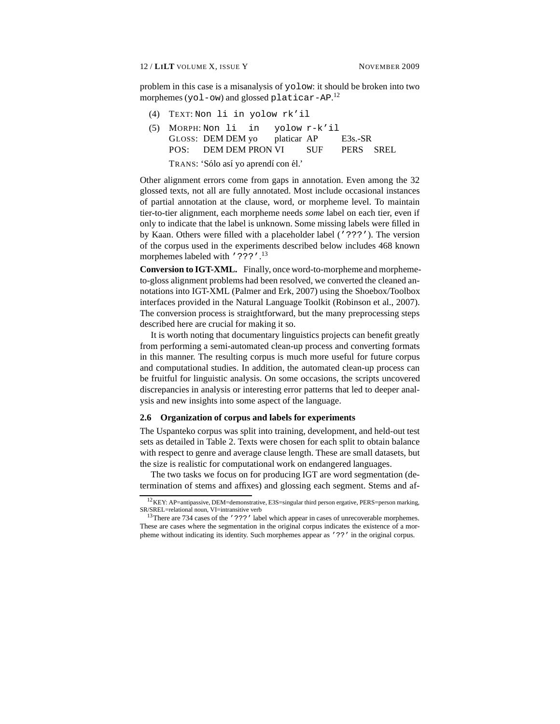problem in this case is a misanalysis of yolow: it should be broken into two morphemes (yol-ow) and glossed platicar-AP.<sup>12</sup>

- (4) TEXT: Non li in yolow rk'il
- (5) MORPH: Non li GLOSS: DEM DEM yo POS: DEM DEM PRON VI in yolow r-k'il platicar AP SUF E3s.-SR PERS SREL TRANS: 'Sólo así yo aprendí con él.'

Other alignment errors come from gaps in annotation. Even among the 32 glossed texts, not all are fully annotated. Most include occasional instances of partial annotation at the clause, word, or morpheme level. To maintain tier-to-tier alignment, each morpheme needs *some* label on each tier, even if only to indicate that the label is unknown. Some missing labels were filled in by Kaan. Others were filled with a placeholder label ('???'). The version of the corpus used in the experiments described below includes 468 known morphemes labeled with '???'.<sup>13</sup>

**Conversion to IGT-XML.** Finally, once word-to-morpheme and morphemeto-gloss alignment problems had been resolved, we converted the cleaned annotations into IGT-XML (Palmer and Erk, 2007) using the Shoebox/Toolbox interfaces provided in the Natural Language Toolkit (Robinson et al., 2007). The conversion process is straightforward, but the many preprocessing steps described here are crucial for making it so.

It is worth noting that documentary linguistics projects can benefit greatly from performing a semi-automated clean-up process and converting formats in this manner. The resulting corpus is much more useful for future corpus and computational studies. In addition, the automated clean-up process can be fruitful for linguistic analysis. On some occasions, the scripts uncovered discrepancies in analysis or interesting error patterns that led to deeper analysis and new insights into some aspect of the language.

#### **2.6 Organization of corpus and labels for experiments**

The Uspanteko corpus was split into training, development, and held-out test sets as detailed in Table 2. Texts were chosen for each split to obtain balance with respect to genre and average clause length. These are small datasets, but the size is realistic for computational work on endangered languages.

The two tasks we focus on for producing IGT are word segmentation (determination of stems and affixes) and glossing each segment. Stems and af-

 $^{12}$ KEY: AP=antipassive, DEM=demonstrative, E3S=singular third person ergative, PERS=person marking, SR/SREL=relational noun, VI=intransitive verb

<sup>&</sup>lt;sup>13</sup>There are 734 cases of the '???' label which appear in cases of unrecoverable morphemes. These are cases where the segmentation in the original corpus indicates the existence of a morpheme without indicating its identity. Such morphemes appear as '??' in the original corpus.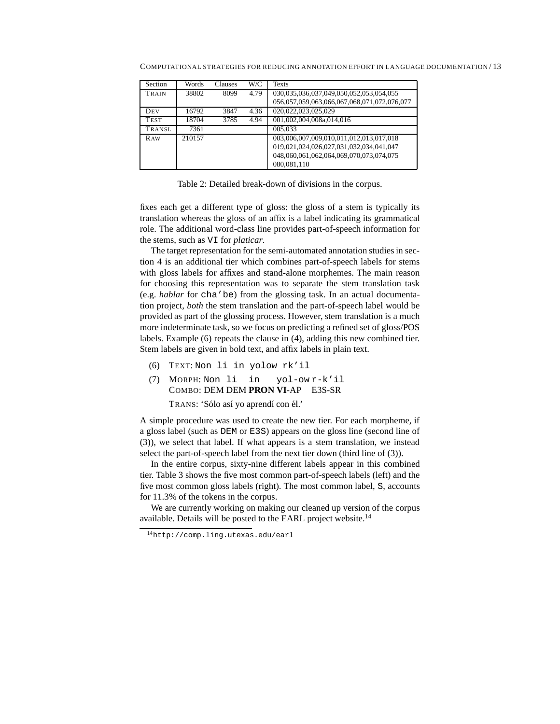| Section    | Words  | <b>Clauses</b> | W/C  | Texts                                       |
|------------|--------|----------------|------|---------------------------------------------|
| TRAIN      | 38802  | 8099           | 4.79 | 030,035,036,037,049,050,052,053,054,055     |
|            |        |                |      | 056,057,059,063,066,067,068,071,072,076,077 |
| DEV        | 16792  | 3847           | 4.36 | 020,022,023,025,029                         |
| TEST       | 18704  | 3785           | 4.94 | 001,002,004,008a,014,016                    |
| TRANSL     | 7361   |                |      | 005,033                                     |
| <b>RAW</b> | 210157 |                |      | 003,006,007,009,010,011,012,013,017,018     |
|            |        |                |      | 019,021,024,026,027,031,032,034,041,047     |
|            |        |                |      | 048,060,061,062,064,069,070,073,074,075     |
|            |        |                |      | 080,081,110                                 |

COMPUTATIONAL STRATEGIES FOR REDUCING ANNOTATION EFFORT IN LANGUAGE DOCUMENTATION / 13

Table 2: Detailed break-down of divisions in the corpus.

fixes each get a different type of gloss: the gloss of a stem is typically its translation whereas the gloss of an affix is a label indicating its grammatical role. The additional word-class line provides part-of-speech information for the stems, such as VI for *platicar*.

The target representation for the semi-automated annotation studies in section 4 is an additional tier which combines part-of-speech labels for stems with gloss labels for affixes and stand-alone morphemes. The main reason for choosing this representation was to separate the stem translation task (e.g. *hablar* for cha'be) from the glossing task. In an actual documentation project, *both* the stem translation and the part-of-speech label would be provided as part of the glossing process. However, stem translation is a much more indeterminate task, so we focus on predicting a refined set of gloss/POS labels. Example (6) repeats the clause in (4), adding this new combined tier. Stem labels are given in bold text, and affix labels in plain text.

- (6) TEXT: Non li in yolow rk'il
- (7) MORPH: Non li in COMBO: DEM DEM **PRON VI**-AP E3S-SR yol-ow r-k'il

TRANS: 'Sólo así yo aprendí con él.'

A simple procedure was used to create the new tier. For each morpheme, if a gloss label (such as DEM or E3S) appears on the gloss line (second line of (3)), we select that label. If what appears is a stem translation, we instead select the part-of-speech label from the next tier down (third line of (3)).

In the entire corpus, sixty-nine different labels appear in this combined tier. Table 3 shows the five most common part-of-speech labels (left) and the five most common gloss labels (right). The most common label, S, accounts for 11.3% of the tokens in the corpus.

We are currently working on making our cleaned up version of the corpus available. Details will be posted to the EARL project website.<sup>14</sup>

<sup>14</sup>http://comp.ling.utexas.edu/earl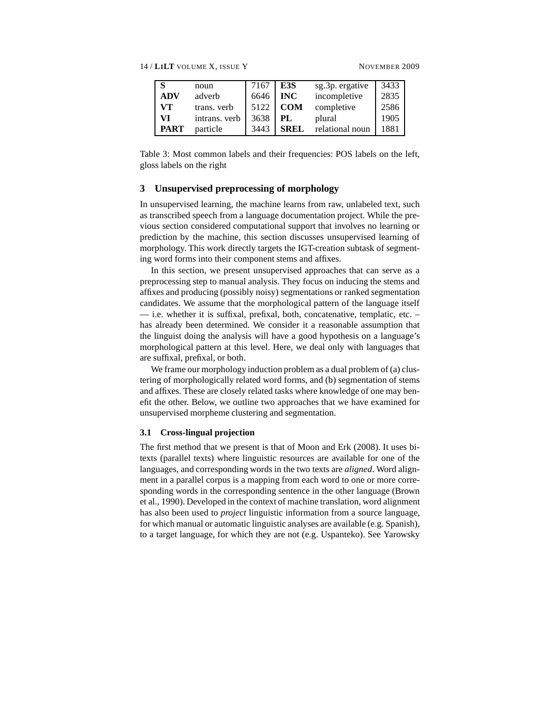14 / **LILT** VOLUME X, ISSUE Y NOVEMBER 2009

| l S         | noun          | 7167 | E3S         | sg.3p. ergative | 3433 |
|-------------|---------------|------|-------------|-----------------|------|
| ADV         | adverb        | 6646 | <b>INC</b>  | incompletive    | 2835 |
| <b>VT</b>   | trans. verb   | 5122 | <b>COM</b>  | completive      | 2586 |
| - VI        | intrans. verb | 3638 | PL.         | plural          | 1905 |
| <b>PART</b> | particle      | 3443 | <b>SREL</b> | relational noun | 1881 |

Table 3: Most common labels and their frequencies: POS labels on the left, gloss labels on the right

# **3 Unsupervised preprocessing of morphology**

In unsupervised learning, the machine learns from raw, unlabeled text, such as transcribed speech from a language documentation project. While the previous section considered computational support that involves no learning or prediction by the machine, this section discusses unsupervised learning of morphology. This work directly targets the IGT-creation subtask of segmenting word forms into their component stems and affixes.

In this section, we present unsupervised approaches that can serve as a preprocessing step to manual analysis. They focus on inducing the stems and affixes and producing (possibly noisy) segmentations or ranked segmentation candidates. We assume that the morphological pattern of the language itself — i.e. whether it is suffixal, prefixal, both, concatenative, templatic, etc. – has already been determined. We consider it a reasonable assumption that the linguist doing the analysis will have a good hypothesis on a language's morphological pattern at this level. Here, we deal only with languages that are suffixal, prefixal, or both.

We frame our morphology induction problem as a dual problem of (a) clustering of morphologically related word forms, and (b) segmentation of stems and affixes. These are closely related tasks where knowledge of one may benefit the other. Below, we outline two approaches that we have examined for unsupervised morpheme clustering and segmentation.

# **3.1 Cross-lingual projection**

The first method that we present is that of Moon and Erk (2008). It uses bitexts (parallel texts) where linguistic resources are available for one of the languages, and corresponding words in the two texts are *aligned*. Word alignment in a parallel corpus is a mapping from each word to one or more corresponding words in the corresponding sentence in the other language (Brown et al., 1990). Developed in the context of machine translation, word alignment has also been used to *project* linguistic information from a source language, for which manual or automatic linguistic analyses are available (e.g. Spanish), to a target language, for which they are not (e.g. Uspanteko). See Yarowsky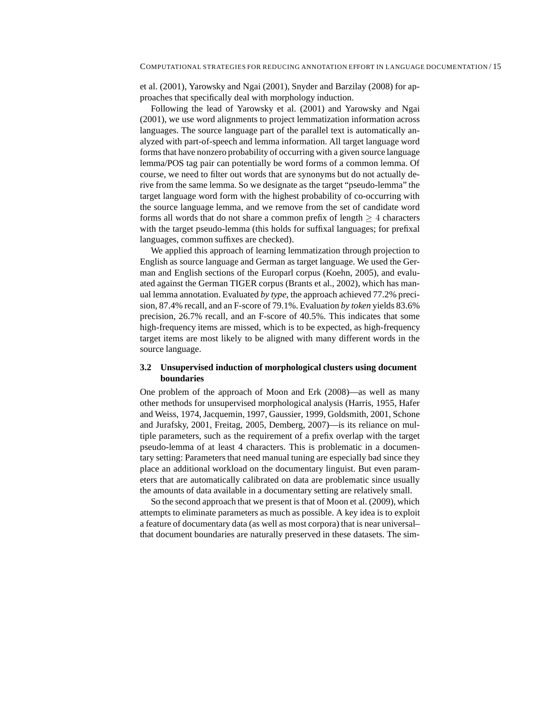et al. (2001), Yarowsky and Ngai (2001), Snyder and Barzilay (2008) for approaches that specifically deal with morphology induction.

Following the lead of Yarowsky et al. (2001) and Yarowsky and Ngai (2001), we use word alignments to project lemmatization information across languages. The source language part of the parallel text is automatically analyzed with part-of-speech and lemma information. All target language word forms that have nonzero probability of occurring with a given source language lemma/POS tag pair can potentially be word forms of a common lemma. Of course, we need to filter out words that are synonyms but do not actually derive from the same lemma. So we designate as the target "pseudo-lemma" the target language word form with the highest probability of co-occurring with the source language lemma, and we remove from the set of candidate word forms all words that do not share a common prefix of length  $> 4$  characters with the target pseudo-lemma (this holds for suffixal languages; for prefixal languages, common suffixes are checked).

We applied this approach of learning lemmatization through projection to English as source language and German as target language. We used the German and English sections of the Europarl corpus (Koehn, 2005), and evaluated against the German TIGER corpus (Brants et al., 2002), which has manual lemma annotation. Evaluated *by type*, the approach achieved 77.2% precision, 87.4% recall, and an F-score of 79.1%. Evaluation *by token* yields 83.6% precision, 26.7% recall, and an F-score of 40.5%. This indicates that some high-frequency items are missed, which is to be expected, as high-frequency target items are most likely to be aligned with many different words in the source language.

# **3.2 Unsupervised induction of morphological clusters using document boundaries**

One problem of the approach of Moon and Erk (2008)—as well as many other methods for unsupervised morphological analysis (Harris, 1955, Hafer and Weiss, 1974, Jacquemin, 1997, Gaussier, 1999, Goldsmith, 2001, Schone and Jurafsky, 2001, Freitag, 2005, Demberg, 2007)—is its reliance on multiple parameters, such as the requirement of a prefix overlap with the target pseudo-lemma of at least 4 characters. This is problematic in a documentary setting: Parameters that need manual tuning are especially bad since they place an additional workload on the documentary linguist. But even parameters that are automatically calibrated on data are problematic since usually the amounts of data available in a documentary setting are relatively small.

So the second approach that we present is that of Moon et al. (2009), which attempts to eliminate parameters as much as possible. A key idea is to exploit a feature of documentary data (as well as most corpora) that is near universal– that document boundaries are naturally preserved in these datasets. The sim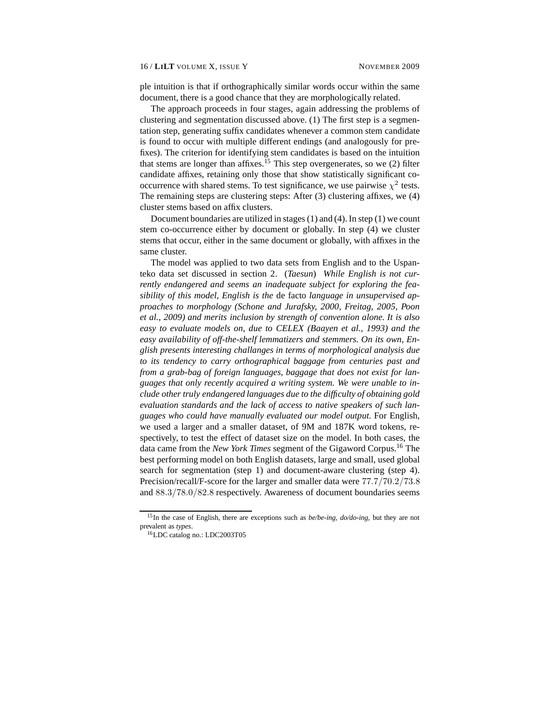ple intuition is that if orthographically similar words occur within the same document, there is a good chance that they are morphologically related.

The approach proceeds in four stages, again addressing the problems of clustering and segmentation discussed above. (1) The first step is a segmentation step, generating suffix candidates whenever a common stem candidate is found to occur with multiple different endings (and analogously for prefixes). The criterion for identifying stem candidates is based on the intuition that stems are longer than affixes.<sup>15</sup> This step overgenerates, so we  $(2)$  filter candidate affixes, retaining only those that show statistically significant cooccurrence with shared stems. To test significance, we use pairwise  $\chi^2$  tests. The remaining steps are clustering steps: After (3) clustering affixes, we (4) cluster stems based on affix clusters.

Document boundaries are utilized in stages (1) and (4). In step (1) we count stem co-occurrence either by document or globally. In step (4) we cluster stems that occur, either in the same document or globally, with affixes in the same cluster.

The model was applied to two data sets from English and to the Uspanteko data set discussed in section 2. (*Taesun*) *While English is not currently endangered and seems an inadequate subject for exploring the feasibility of this model, English is the* de facto *language in unsupervised approaches to morphology (Schone and Jurafsky, 2000, Freitag, 2005, Poon et al., 2009) and merits inclusion by strength of convention alone. It is also easy to evaluate models on, due to CELEX (Baayen et al., 1993) and the easy availability of off-the-shelf lemmatizers and stemmers. On its own, English presents interesting challanges in terms of morphological analysis due to its tendency to carry orthographical baggage from centuries past and from a grab-bag of foreign languages, baggage that does not exist for languages that only recently acquired a writing system. We were unable to include other truly endangered languages due to the difficulty of obtaining gold evaluation standards and the lack of access to native speakers of such languages who could have manually evaluated our model output.* For English, we used a larger and a smaller dataset, of 9M and 187K word tokens, respectively, to test the effect of dataset size on the model. In both cases, the data came from the *New York Times* segment of the Gigaword Corpus.<sup>16</sup> The best performing model on both English datasets, large and small, used global search for segmentation (step 1) and document-aware clustering (step 4). Precision/recall/F-score for the larger and smaller data were 77.7/70.2/73.8 and 88.3/78.0/82.8 respectively. Awareness of document boundaries seems

<sup>15</sup>In the case of English, there are exceptions such as *be/be-ing, do/do-ing*, but they are not prevalent as *types*.

<sup>16</sup>LDC catalog no.: LDC2003T05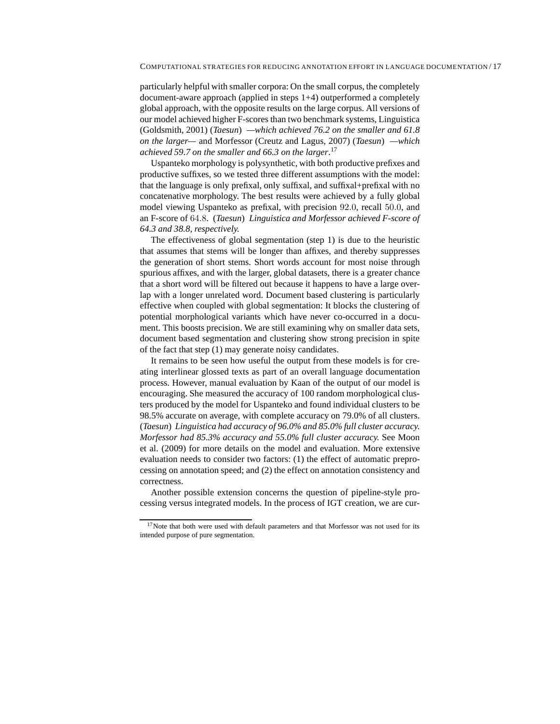particularly helpful with smaller corpora: On the small corpus, the completely document-aware approach (applied in steps 1+4) outperformed a completely global approach, with the opposite results on the large corpus. All versions of our model achieved higher F-scores than two benchmark systems, Linguistica (Goldsmith, 2001) (*Taesun*) *—which achieved 76.2 on the smaller and 61.8 on the larger—* and Morfessor (Creutz and Lagus, 2007) (*Taesun*) *—which achieved 59.7 on the smaller and 66.3 on the larger*. 17

Uspanteko morphology is polysynthetic, with both productive prefixes and productive suffixes, so we tested three different assumptions with the model: that the language is only prefixal, only suffixal, and suffixal+prefixal with no concatenative morphology. The best results were achieved by a fully global model viewing Uspanteko as prefixal, with precision 92.0, recall 50.0, and an F-score of 64.8. (*Taesun*) *Linguistica and Morfessor achieved F-score of 64.3 and 38.8, respectively.*

The effectiveness of global segmentation (step 1) is due to the heuristic that assumes that stems will be longer than affixes, and thereby suppresses the generation of short stems. Short words account for most noise through spurious affixes, and with the larger, global datasets, there is a greater chance that a short word will be filtered out because it happens to have a large overlap with a longer unrelated word. Document based clustering is particularly effective when coupled with global segmentation: It blocks the clustering of potential morphological variants which have never co-occurred in a document. This boosts precision. We are still examining why on smaller data sets, document based segmentation and clustering show strong precision in spite of the fact that step (1) may generate noisy candidates.

It remains to be seen how useful the output from these models is for creating interlinear glossed texts as part of an overall language documentation process. However, manual evaluation by Kaan of the output of our model is encouraging. She measured the accuracy of 100 random morphological clusters produced by the model for Uspanteko and found individual clusters to be 98.5% accurate on average, with complete accuracy on 79.0% of all clusters. (*Taesun*) *Linguistica had accuracy of 96.0% and 85.0% full cluster accuracy. Morfessor had 85.3% accuracy and 55.0% full cluster accuracy.* See Moon et al. (2009) for more details on the model and evaluation. More extensive evaluation needs to consider two factors: (1) the effect of automatic preprocessing on annotation speed; and (2) the effect on annotation consistency and correctness.

Another possible extension concerns the question of pipeline-style processing versus integrated models. In the process of IGT creation, we are cur-

 $17$ Note that both were used with default parameters and that Morfessor was not used for its intended purpose of pure segmentation.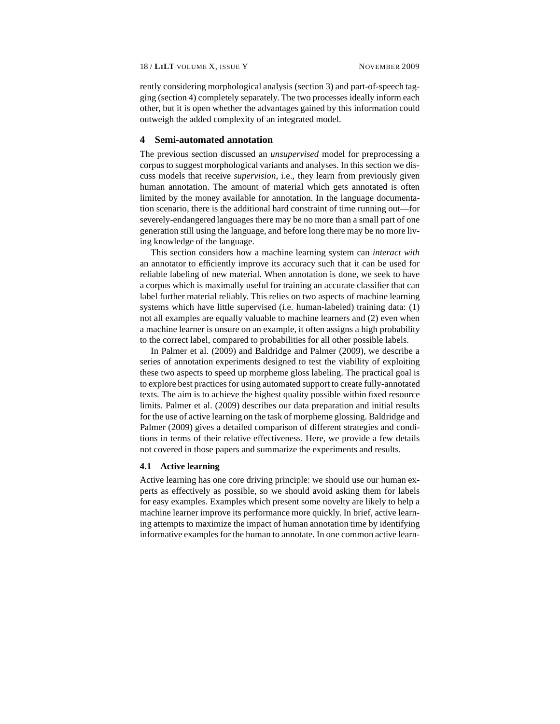rently considering morphological analysis (section 3) and part-of-speech tagging (section 4) completely separately. The two processes ideally inform each other, but it is open whether the advantages gained by this information could outweigh the added complexity of an integrated model.

# **4 Semi-automated annotation**

The previous section discussed an *unsupervised* model for preprocessing a corpus to suggest morphological variants and analyses. In this section we discuss models that receive *supervision*, i.e., they learn from previously given human annotation. The amount of material which gets annotated is often limited by the money available for annotation. In the language documentation scenario, there is the additional hard constraint of time running out—for severely-endangered languages there may be no more than a small part of one generation still using the language, and before long there may be no more living knowledge of the language.

This section considers how a machine learning system can *interact with* an annotator to efficiently improve its accuracy such that it can be used for reliable labeling of new material. When annotation is done, we seek to have a corpus which is maximally useful for training an accurate classifier that can label further material reliably. This relies on two aspects of machine learning systems which have little supervised (i.e. human-labeled) training data: (1) not all examples are equally valuable to machine learners and (2) even when a machine learner is unsure on an example, it often assigns a high probability to the correct label, compared to probabilities for all other possible labels.

In Palmer et al. (2009) and Baldridge and Palmer (2009), we describe a series of annotation experiments designed to test the viability of exploiting these two aspects to speed up morpheme gloss labeling. The practical goal is to explore best practices for using automated support to create fully-annotated texts. The aim is to achieve the highest quality possible within fixed resource limits. Palmer et al. (2009) describes our data preparation and initial results for the use of active learning on the task of morpheme glossing. Baldridge and Palmer (2009) gives a detailed comparison of different strategies and conditions in terms of their relative effectiveness. Here, we provide a few details not covered in those papers and summarize the experiments and results.

### **4.1 Active learning**

Active learning has one core driving principle: we should use our human experts as effectively as possible, so we should avoid asking them for labels for easy examples. Examples which present some novelty are likely to help a machine learner improve its performance more quickly. In brief, active learning attempts to maximize the impact of human annotation time by identifying informative examples for the human to annotate. In one common active learn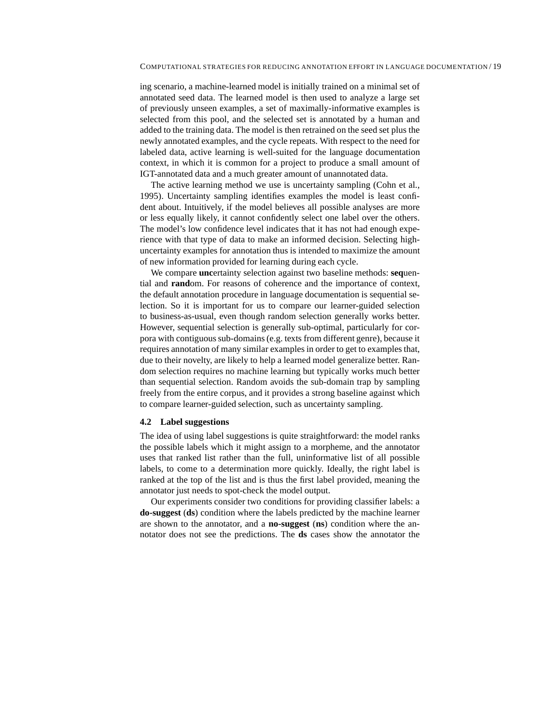ing scenario, a machine-learned model is initially trained on a minimal set of annotated seed data. The learned model is then used to analyze a large set of previously unseen examples, a set of maximally-informative examples is selected from this pool, and the selected set is annotated by a human and added to the training data. The model is then retrained on the seed set plus the newly annotated examples, and the cycle repeats. With respect to the need for labeled data, active learning is well-suited for the language documentation context, in which it is common for a project to produce a small amount of IGT-annotated data and a much greater amount of unannotated data.

The active learning method we use is uncertainty sampling (Cohn et al., 1995). Uncertainty sampling identifies examples the model is least confident about. Intuitively, if the model believes all possible analyses are more or less equally likely, it cannot confidently select one label over the others. The model's low confidence level indicates that it has not had enough experience with that type of data to make an informed decision. Selecting highuncertainty examples for annotation thus is intended to maximize the amount of new information provided for learning during each cycle.

We compare **unc**ertainty selection against two baseline methods: **seq**uential and **rand**om. For reasons of coherence and the importance of context, the default annotation procedure in language documentation is sequential selection. So it is important for us to compare our learner-guided selection to business-as-usual, even though random selection generally works better. However, sequential selection is generally sub-optimal, particularly for corpora with contiguous sub-domains (e.g. texts from different genre), because it requires annotation of many similar examples in order to get to examples that, due to their novelty, are likely to help a learned model generalize better. Random selection requires no machine learning but typically works much better than sequential selection. Random avoids the sub-domain trap by sampling freely from the entire corpus, and it provides a strong baseline against which to compare learner-guided selection, such as uncertainty sampling.

### **4.2 Label suggestions**

The idea of using label suggestions is quite straightforward: the model ranks the possible labels which it might assign to a morpheme, and the annotator uses that ranked list rather than the full, uninformative list of all possible labels, to come to a determination more quickly. Ideally, the right label is ranked at the top of the list and is thus the first label provided, meaning the annotator just needs to spot-check the model output.

Our experiments consider two conditions for providing classifier labels: a **do-suggest** (**ds**) condition where the labels predicted by the machine learner are shown to the annotator, and a **no-suggest** (**ns**) condition where the annotator does not see the predictions. The **ds** cases show the annotator the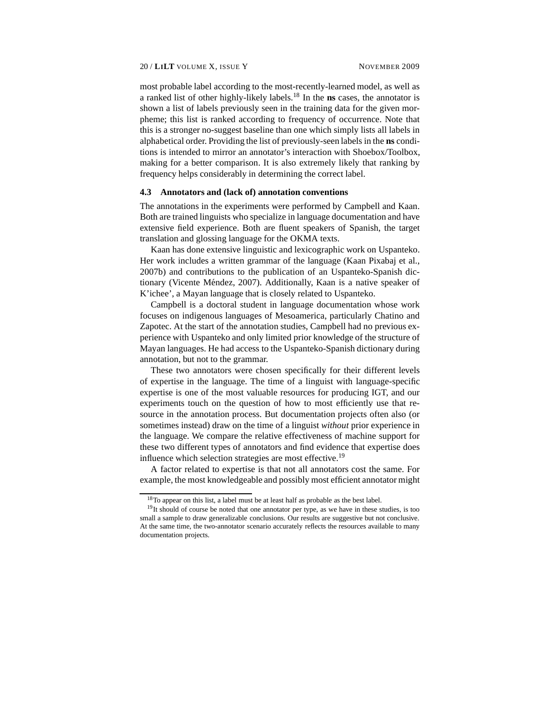most probable label according to the most-recently-learned model, as well as a ranked list of other highly-likely labels.<sup>18</sup> In the **ns** cases, the annotator is shown a list of labels previously seen in the training data for the given morpheme; this list is ranked according to frequency of occurrence. Note that this is a stronger no-suggest baseline than one which simply lists all labels in alphabetical order. Providing the list of previously-seen labels in the **ns** conditions is intended to mirror an annotator's interaction with Shoebox/Toolbox, making for a better comparison. It is also extremely likely that ranking by frequency helps considerably in determining the correct label.

#### **4.3 Annotators and (lack of) annotation conventions**

The annotations in the experiments were performed by Campbell and Kaan. Both are trained linguists who specialize in language documentation and have extensive field experience. Both are fluent speakers of Spanish, the target translation and glossing language for the OKMA texts.

Kaan has done extensive linguistic and lexicographic work on Uspanteko. Her work includes a written grammar of the language (Kaan Pixabaj et al., 2007b) and contributions to the publication of an Uspanteko-Spanish dictionary (Vicente Méndez, 2007). Additionally, Kaan is a native speaker of K'ichee', a Mayan language that is closely related to Uspanteko.

Campbell is a doctoral student in language documentation whose work focuses on indigenous languages of Mesoamerica, particularly Chatino and Zapotec. At the start of the annotation studies, Campbell had no previous experience with Uspanteko and only limited prior knowledge of the structure of Mayan languages. He had access to the Uspanteko-Spanish dictionary during annotation, but not to the grammar.

These two annotators were chosen specifically for their different levels of expertise in the language. The time of a linguist with language-specific expertise is one of the most valuable resources for producing IGT, and our experiments touch on the question of how to most efficiently use that resource in the annotation process. But documentation projects often also (or sometimes instead) draw on the time of a linguist *without* prior experience in the language. We compare the relative effectiveness of machine support for these two different types of annotators and find evidence that expertise does influence which selection strategies are most effective.<sup>19</sup>

A factor related to expertise is that not all annotators cost the same. For example, the most knowledgeable and possibly most efficient annotator might

<sup>&</sup>lt;sup>18</sup>To appear on this list, a label must be at least half as probable as the best label.

<sup>&</sup>lt;sup>19</sup>It should of course be noted that one annotator per type, as we have in these studies, is too small a sample to draw generalizable conclusions. Our results are suggestive but not conclusive. At the same time, the two-annotator scenario accurately reflects the resources available to many documentation projects.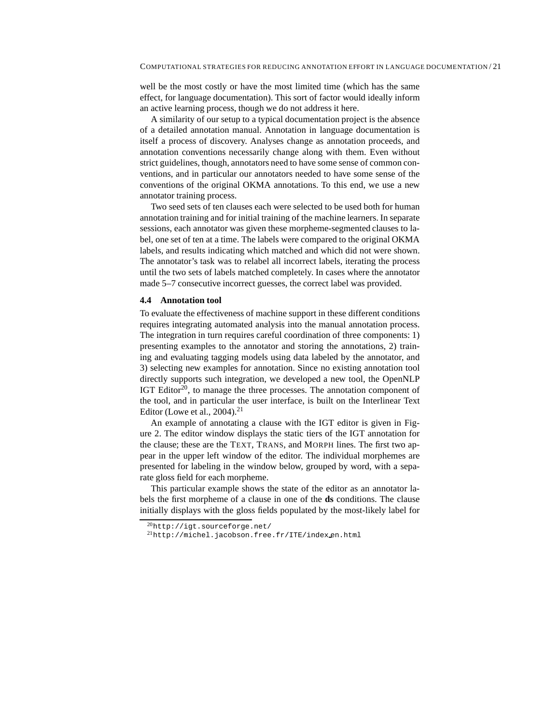well be the most costly or have the most limited time (which has the same effect, for language documentation). This sort of factor would ideally inform an active learning process, though we do not address it here.

A similarity of our setup to a typical documentation project is the absence of a detailed annotation manual. Annotation in language documentation is itself a process of discovery. Analyses change as annotation proceeds, and annotation conventions necessarily change along with them. Even without strict guidelines, though, annotators need to have some sense of common conventions, and in particular our annotators needed to have some sense of the conventions of the original OKMA annotations. To this end, we use a new annotator training process.

Two seed sets of ten clauses each were selected to be used both for human annotation training and for initial training of the machine learners. In separate sessions, each annotator was given these morpheme-segmented clauses to label, one set of ten at a time. The labels were compared to the original OKMA labels, and results indicating which matched and which did not were shown. The annotator's task was to relabel all incorrect labels, iterating the process until the two sets of labels matched completely. In cases where the annotator made 5–7 consecutive incorrect guesses, the correct label was provided.

#### **4.4 Annotation tool**

To evaluate the effectiveness of machine support in these different conditions requires integrating automated analysis into the manual annotation process. The integration in turn requires careful coordination of three components: 1) presenting examples to the annotator and storing the annotations, 2) training and evaluating tagging models using data labeled by the annotator, and 3) selecting new examples for annotation. Since no existing annotation tool directly supports such integration, we developed a new tool, the OpenNLP IGT Editor<sup>20</sup>, to manage the three processes. The annotation component of the tool, and in particular the user interface, is built on the Interlinear Text Editor (Lowe et al.,  $2004$ ).<sup>21</sup>

An example of annotating a clause with the IGT editor is given in Figure 2. The editor window displays the static tiers of the IGT annotation for the clause; these are the TEXT, TRANS, and MORPH lines. The first two appear in the upper left window of the editor. The individual morphemes are presented for labeling in the window below, grouped by word, with a separate gloss field for each morpheme.

This particular example shows the state of the editor as an annotator labels the first morpheme of a clause in one of the **ds** conditions. The clause initially displays with the gloss fields populated by the most-likely label for

 $^{20}$ http://igt.sourceforge.net/

<sup>21</sup>http://michel.jacobson.free.fr/ITE/index en.html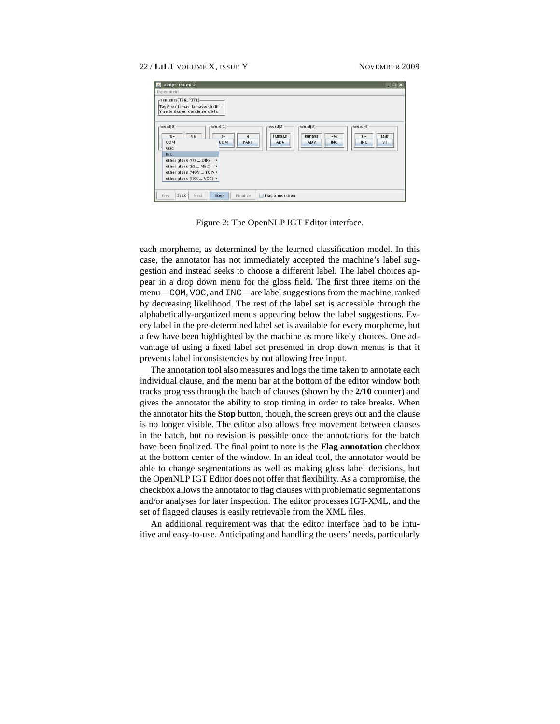| alnlp: Round 2<br>$\mathcal{L}_1$                                                                                                                                                                                    |                                                            |                                                  |                                                          | $ \Box$ $\times$                                  |
|----------------------------------------------------------------------------------------------------------------------------------------------------------------------------------------------------------------------|------------------------------------------------------------|--------------------------------------------------|----------------------------------------------------------|---------------------------------------------------|
| Experiment                                                                                                                                                                                                           |                                                            |                                                  |                                                          |                                                   |
| $r$ -sentence[T76_P371]-<br>Taye' ree lamas, lamasw titzib'.+<br>Y se lo das en donde se alivia.                                                                                                                     |                                                            |                                                  |                                                          |                                                   |
| $-word[0]$ -<br>ve'<br>$ti-$<br>COM<br><b>VOC</b><br><b>INC</b><br>other gloss $Q$ ??  DIR) $\rightarrow$<br>other gloss (E1  MED) ▶<br>other gloss (MOV  TOP) +<br>other gloss (TRN  VOC) ▶<br>Prev<br>2/10<br>Next | $-word[1]$<br>$r-$<br>e<br>COM<br>PART<br>Stop<br>Finalize | $-word[2]$ -<br>lamaas<br>ADV<br>Flag annotation | $-word[3]$<br>lamaas<br>$-W$<br><b>ADV</b><br><b>INC</b> | $-word[4]$<br>tzib'<br>$ti -$<br><b>INC</b><br>VT |

Figure 2: The OpenNLP IGT Editor interface.

each morpheme, as determined by the learned classification model. In this case, the annotator has not immediately accepted the machine's label suggestion and instead seeks to choose a different label. The label choices appear in a drop down menu for the gloss field. The first three items on the menu—COM, VOC, and INC—are label suggestions from the machine, ranked by decreasing likelihood. The rest of the label set is accessible through the alphabetically-organized menus appearing below the label suggestions. Every label in the pre-determined label set is available for every morpheme, but a few have been highlighted by the machine as more likely choices. One advantage of using a fixed label set presented in drop down menus is that it prevents label inconsistencies by not allowing free input.

The annotation tool also measures and logs the time taken to annotate each individual clause, and the menu bar at the bottom of the editor window both tracks progress through the batch of clauses (shown by the **2/10** counter) and gives the annotator the ability to stop timing in order to take breaks. When the annotator hits the **Stop** button, though, the screen greys out and the clause is no longer visible. The editor also allows free movement between clauses in the batch, but no revision is possible once the annotations for the batch have been finalized. The final point to note is the **Flag annotation** checkbox at the bottom center of the window. In an ideal tool, the annotator would be able to change segmentations as well as making gloss label decisions, but the OpenNLP IGT Editor does not offer that flexibility. As a compromise, the checkbox allows the annotator to flag clauses with problematic segmentations and/or analyses for later inspection. The editor processes IGT-XML, and the set of flagged clauses is easily retrievable from the XML files.

An additional requirement was that the editor interface had to be intuitive and easy-to-use. Anticipating and handling the users' needs, particularly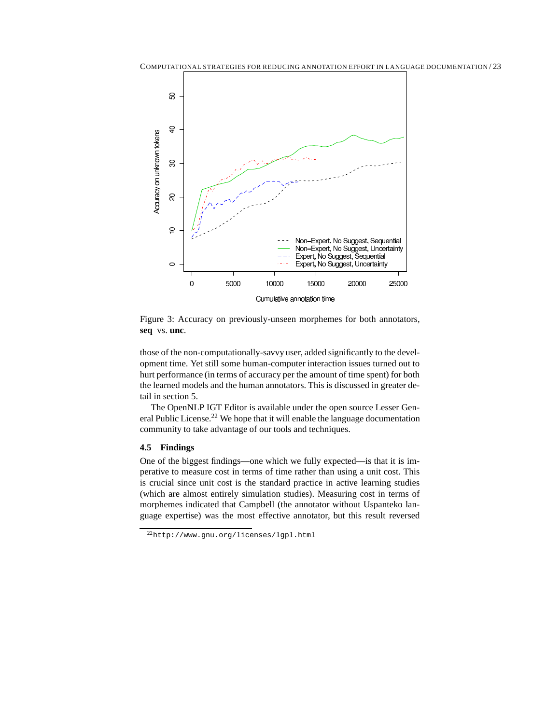

Figure 3: Accuracy on previously-unseen morphemes for both annotators, **seq** vs. **unc**.

those of the non-computationally-savvy user, added significantly to the development time. Yet still some human-computer interaction issues turned out to hurt performance (in terms of accuracy per the amount of time spent) for both the learned models and the human annotators. This is discussed in greater detail in section 5.

The OpenNLP IGT Editor is available under the open source Lesser General Public License.<sup>22</sup> We hope that it will enable the language documentation community to take advantage of our tools and techniques.

# **4.5 Findings**

One of the biggest findings—one which we fully expected—is that it is imperative to measure cost in terms of time rather than using a unit cost. This is crucial since unit cost is the standard practice in active learning studies (which are almost entirely simulation studies). Measuring cost in terms of morphemes indicated that Campbell (the annotator without Uspanteko language expertise) was the most effective annotator, but this result reversed

<sup>22</sup>http://www.gnu.org/licenses/lgpl.html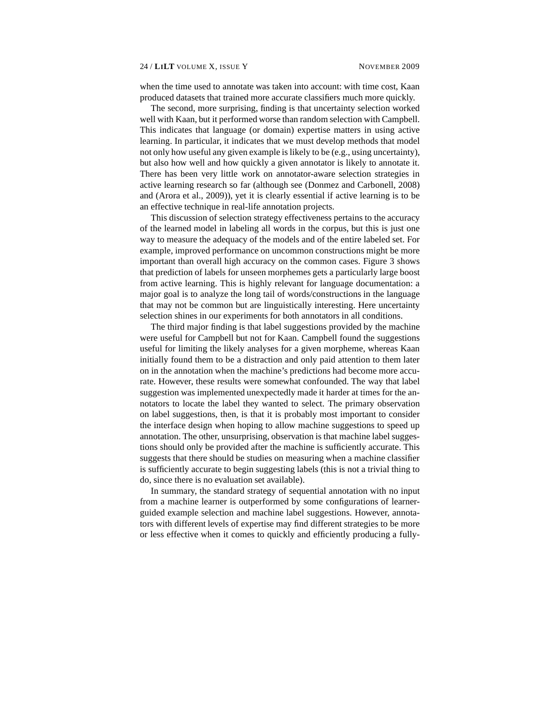when the time used to annotate was taken into account: with time cost, Kaan produced datasets that trained more accurate classifiers much more quickly.

The second, more surprising, finding is that uncertainty selection worked well with Kaan, but it performed worse than random selection with Campbell. This indicates that language (or domain) expertise matters in using active learning. In particular, it indicates that we must develop methods that model not only how useful any given example is likely to be (e.g., using uncertainty), but also how well and how quickly a given annotator is likely to annotate it. There has been very little work on annotator-aware selection strategies in active learning research so far (although see (Donmez and Carbonell, 2008) and (Arora et al., 2009)), yet it is clearly essential if active learning is to be an effective technique in real-life annotation projects.

This discussion of selection strategy effectiveness pertains to the accuracy of the learned model in labeling all words in the corpus, but this is just one way to measure the adequacy of the models and of the entire labeled set. For example, improved performance on uncommon constructions might be more important than overall high accuracy on the common cases. Figure 3 shows that prediction of labels for unseen morphemes gets a particularly large boost from active learning. This is highly relevant for language documentation: a major goal is to analyze the long tail of words/constructions in the language that may not be common but are linguistically interesting. Here uncertainty selection shines in our experiments for both annotators in all conditions.

The third major finding is that label suggestions provided by the machine were useful for Campbell but not for Kaan. Campbell found the suggestions useful for limiting the likely analyses for a given morpheme, whereas Kaan initially found them to be a distraction and only paid attention to them later on in the annotation when the machine's predictions had become more accurate. However, these results were somewhat confounded. The way that label suggestion was implemented unexpectedly made it harder at times for the annotators to locate the label they wanted to select. The primary observation on label suggestions, then, is that it is probably most important to consider the interface design when hoping to allow machine suggestions to speed up annotation. The other, unsurprising, observation is that machine label suggestions should only be provided after the machine is sufficiently accurate. This suggests that there should be studies on measuring when a machine classifier is sufficiently accurate to begin suggesting labels (this is not a trivial thing to do, since there is no evaluation set available).

In summary, the standard strategy of sequential annotation with no input from a machine learner is outperformed by some configurations of learnerguided example selection and machine label suggestions. However, annotators with different levels of expertise may find different strategies to be more or less effective when it comes to quickly and efficiently producing a fully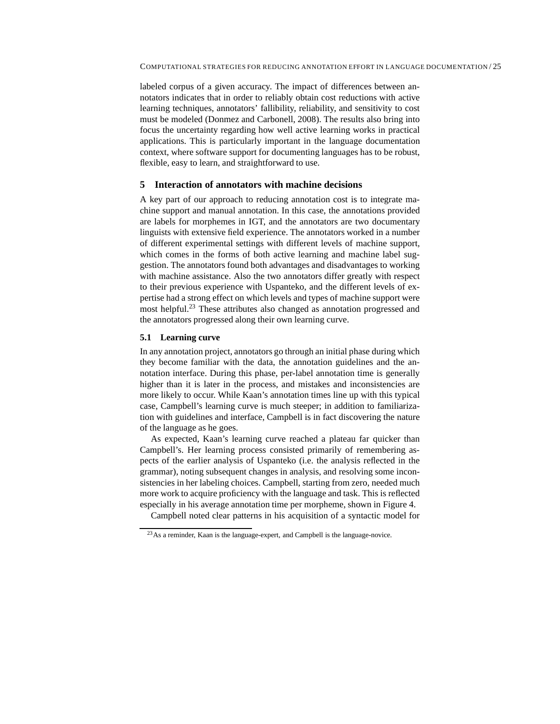labeled corpus of a given accuracy. The impact of differences between annotators indicates that in order to reliably obtain cost reductions with active learning techniques, annotators' fallibility, reliability, and sensitivity to cost must be modeled (Donmez and Carbonell, 2008). The results also bring into focus the uncertainty regarding how well active learning works in practical applications. This is particularly important in the language documentation context, where software support for documenting languages has to be robust, flexible, easy to learn, and straightforward to use.

# **5 Interaction of annotators with machine decisions**

A key part of our approach to reducing annotation cost is to integrate machine support and manual annotation. In this case, the annotations provided are labels for morphemes in IGT, and the annotators are two documentary linguists with extensive field experience. The annotators worked in a number of different experimental settings with different levels of machine support, which comes in the forms of both active learning and machine label suggestion. The annotators found both advantages and disadvantages to working with machine assistance. Also the two annotators differ greatly with respect to their previous experience with Uspanteko, and the different levels of expertise had a strong effect on which levels and types of machine support were most helpful.<sup>23</sup> These attributes also changed as annotation progressed and the annotators progressed along their own learning curve.

### **5.1 Learning curve**

In any annotation project, annotators go through an initial phase during which they become familiar with the data, the annotation guidelines and the annotation interface. During this phase, per-label annotation time is generally higher than it is later in the process, and mistakes and inconsistencies are more likely to occur. While Kaan's annotation times line up with this typical case, Campbell's learning curve is much steeper; in addition to familiarization with guidelines and interface, Campbell is in fact discovering the nature of the language as he goes.

As expected, Kaan's learning curve reached a plateau far quicker than Campbell's. Her learning process consisted primarily of remembering aspects of the earlier analysis of Uspanteko (i.e. the analysis reflected in the grammar), noting subsequent changes in analysis, and resolving some inconsistencies in her labeling choices. Campbell, starting from zero, needed much more work to acquire proficiency with the language and task. This is reflected especially in his average annotation time per morpheme, shown in Figure 4.

Campbell noted clear patterns in his acquisition of a syntactic model for

<sup>23</sup>As a reminder, Kaan is the language-expert, and Campbell is the language-novice.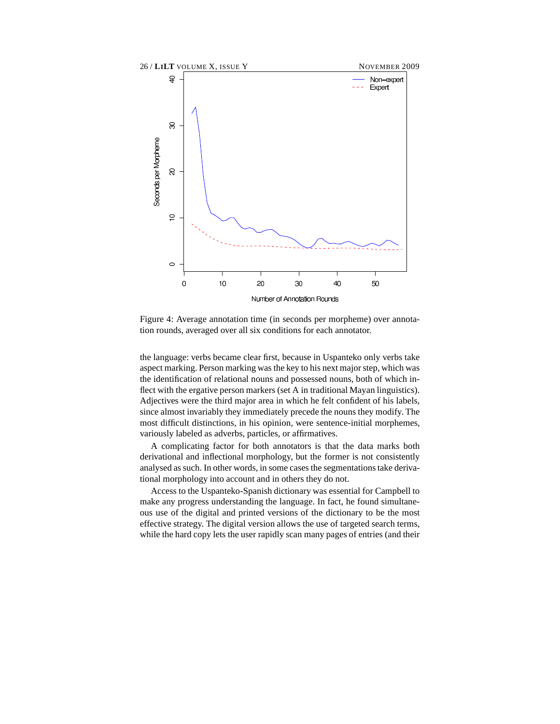

Figure 4: Average annotation time (in seconds per morpheme) over annotation rounds, averaged over all six conditions for each annotator.

the language: verbs became clear first, because in Uspanteko only verbs take aspect marking. Person marking was the key to his next major step, which was the identification of relational nouns and possessed nouns, both of which inflect with the ergative person markers (set A in traditional Mayan linguistics). Adjectives were the third major area in which he felt confident of his labels, since almost invariably they immediately precede the nouns they modify. The most difficult distinctions, in his opinion, were sentence-initial morphemes, variously labeled as adverbs, particles, or affirmatives.

A complicating factor for both annotators is that the data marks both derivational and inflectional morphology, but the former is not consistently analysed as such. In other words, in some cases the segmentations take derivational morphology into account and in others they do not.

Access to the Uspanteko-Spanish dictionary was essential for Campbell to make any progress understanding the language. In fact, he found simultaneous use of the digital and printed versions of the dictionary to be the most effective strategy. The digital version allows the use of targeted search terms, while the hard copy lets the user rapidly scan many pages of entries (and their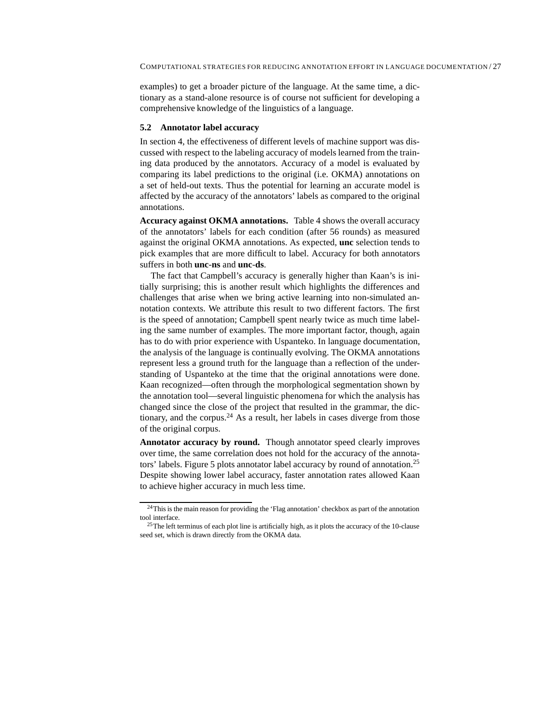examples) to get a broader picture of the language. At the same time, a dictionary as a stand-alone resource is of course not sufficient for developing a comprehensive knowledge of the linguistics of a language.

#### **5.2 Annotator label accuracy**

In section 4, the effectiveness of different levels of machine support was discussed with respect to the labeling accuracy of models learned from the training data produced by the annotators. Accuracy of a model is evaluated by comparing its label predictions to the original (i.e. OKMA) annotations on a set of held-out texts. Thus the potential for learning an accurate model is affected by the accuracy of the annotators' labels as compared to the original annotations.

**Accuracy against OKMA annotations.** Table 4 shows the overall accuracy of the annotators' labels for each condition (after 56 rounds) as measured against the original OKMA annotations. As expected, **unc** selection tends to pick examples that are more difficult to label. Accuracy for both annotators suffers in both **unc**-**ns** and **unc**-**ds**.

The fact that Campbell's accuracy is generally higher than Kaan's is initially surprising; this is another result which highlights the differences and challenges that arise when we bring active learning into non-simulated annotation contexts. We attribute this result to two different factors. The first is the speed of annotation; Campbell spent nearly twice as much time labeling the same number of examples. The more important factor, though, again has to do with prior experience with Uspanteko. In language documentation, the analysis of the language is continually evolving. The OKMA annotations represent less a ground truth for the language than a reflection of the understanding of Uspanteko at the time that the original annotations were done. Kaan recognized—often through the morphological segmentation shown by the annotation tool—several linguistic phenomena for which the analysis has changed since the close of the project that resulted in the grammar, the dictionary, and the corpus.<sup>24</sup> As a result, her labels in cases diverge from those of the original corpus.

**Annotator accuracy by round.** Though annotator speed clearly improves over time, the same correlation does not hold for the accuracy of the annotators' labels. Figure 5 plots annotator label accuracy by round of annotation.<sup>25</sup> Despite showing lower label accuracy, faster annotation rates allowed Kaan to achieve higher accuracy in much less time.

<sup>&</sup>lt;sup>24</sup>This is the main reason for providing the 'Flag annotation' checkbox as part of the annotation tool interface.

<sup>&</sup>lt;sup>25</sup>The left terminus of each plot line is artificially high, as it plots the accuracy of the 10-clause seed set, which is drawn directly from the OKMA data.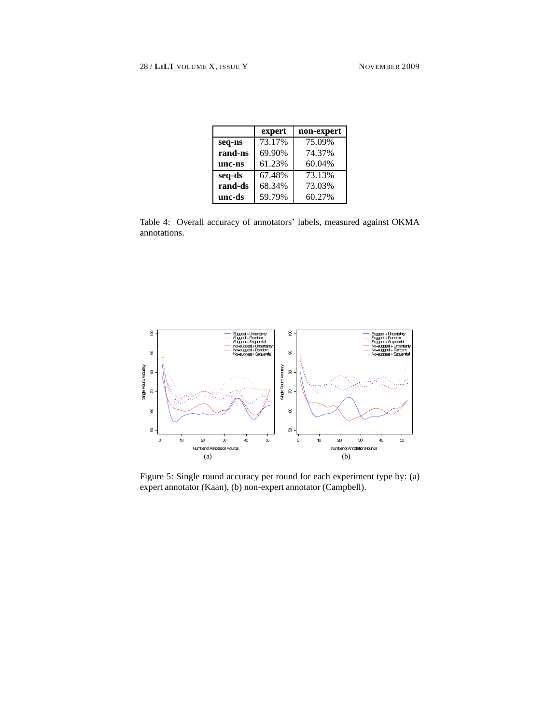|         | expert | non-expert |
|---------|--------|------------|
| seq-ns  | 73.17% | 75.09%     |
| rand-ns | 69.90% | 74.37%     |
| unc-ns  | 61.23% | 60.04%     |
| seq-ds  | 67.48% | 73.13%     |
| rand-ds | 68.34% | 73.03%     |
| unc-ds  | 59.79% | 60.27%     |

Table 4: Overall accuracy of annotators' labels, measured against OKMA annotations.



Figure 5: Single round accuracy per round for each experiment type by: (a) expert annotator (Kaan), (b) non-expert annotator (Campbell).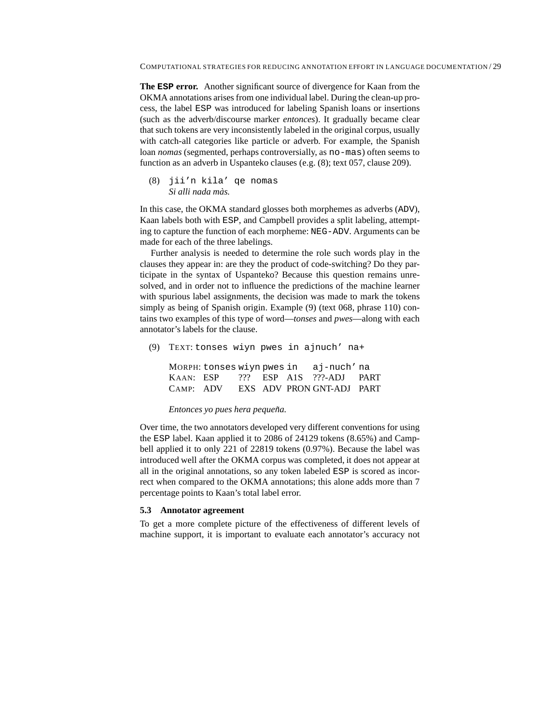**The ESP error.** Another significant source of divergence for Kaan from the OKMA annotations arises from one individual label. During the clean-up process, the label ESP was introduced for labeling Spanish loans or insertions (such as the adverb/discourse marker *entonces*). It gradually became clear that such tokens are very inconsistently labeled in the original corpus, usually with catch-all categories like particle or adverb. For example, the Spanish loan *nomas* (segmented, perhaps controversially, as no-mas) often seems to function as an adverb in Uspanteko clauses (e.g. (8); text 057, clause 209).

```
(8) jii'n kila' qe nomas
    Si alli nada màs.
```
In this case, the OKMA standard glosses both morphemes as adverbs (ADV), Kaan labels both with ESP, and Campbell provides a split labeling, attempting to capture the function of each morpheme: NEG-ADV. Arguments can be made for each of the three labelings.

Further analysis is needed to determine the role such words play in the clauses they appear in: are they the product of code-switching? Do they participate in the syntax of Uspanteko? Because this question remains unresolved, and in order not to influence the predictions of the machine learner with spurious label assignments, the decision was made to mark the tokens simply as being of Spanish origin. Example (9) (text 068, phrase 110) contains two examples of this type of word—*tonses* and *pwes*—along with each annotator's labels for the clause.

```
(9) TEXT: tonses wiyn pwes in ajnuch' na+
```

|           |  |  | MORPH: tonses wiyn pwes in aj-nuch'na |  |
|-----------|--|--|---------------------------------------|--|
| KAAN: ESP |  |  | ??? ESP A1S ???-ADJ PART              |  |
| CAMP: ADV |  |  | EXS ADV PRON GNT-ADJ PART             |  |

#### *Entonces yo pues hera pequeña.*

Over time, the two annotators developed very different conventions for using the ESP label. Kaan applied it to 2086 of 24129 tokens (8.65%) and Campbell applied it to only 221 of 22819 tokens (0.97%). Because the label was introduced well after the OKMA corpus was completed, it does not appear at all in the original annotations, so any token labeled ESP is scored as incorrect when compared to the OKMA annotations; this alone adds more than 7 percentage points to Kaan's total label error.

#### **5.3 Annotator agreement**

To get a more complete picture of the effectiveness of different levels of machine support, it is important to evaluate each annotator's accuracy not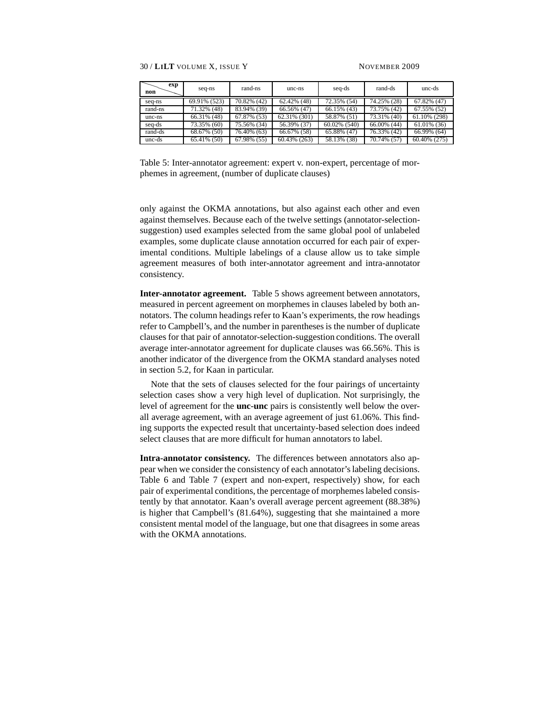| exp<br>non | seq-ns       | rand-ns     | unc-ns          | seq-ds          | rand-ds        | unc-ds         |
|------------|--------------|-------------|-----------------|-----------------|----------------|----------------|
| seq-ns     | 69.91% (523) | 70.82% (42) | 62.42% (48)     | 72.35% (54)     | 74.25% (28)    | $67.82\%$ (47) |
| rand-ns    | 71.32% (48)  | 83.94% (39) | $66.56\%$ (47)  | 66.15% (43)     | 73.75% (42)    | $67.55\%$ (52) |
| unc-ns     | 66.31% (48)  | 67.87% (53) | 62.31% (301)    | 58.87% (51)     | 73.31% (40)    | 61.10% (298)   |
| seq-ds     | 73.35% (60)  | 75.56% (34) | 56.39% (37)     | $60.02\%$ (540) | $66.00\%$ (44) | $61.01\%$ (36) |
| rand-ds    | 68.67% (50)  | 76.40% (63) | $66.67\%$ (58)  | $65.88\%$ (47)  | 76.33% (42)    | $66.99\%$ (64) |
| unc-ds     | 65.41% (50)  | 67.98% (55) | $60.43\%$ (263) | 58.13% (38)     | 70.74% (57)    | 60.40% (275)   |

Table 5: Inter-annotator agreement: expert v. non-expert, percentage of morphemes in agreement, (number of duplicate clauses)

only against the OKMA annotations, but also against each other and even against themselves. Because each of the twelve settings (annotator-selectionsuggestion) used examples selected from the same global pool of unlabeled examples, some duplicate clause annotation occurred for each pair of experimental conditions. Multiple labelings of a clause allow us to take simple agreement measures of both inter-annotator agreement and intra-annotator consistency.

**Inter-annotator agreement.** Table 5 shows agreement between annotators, measured in percent agreement on morphemes in clauses labeled by both annotators. The column headings refer to Kaan's experiments, the row headings refer to Campbell's, and the number in parentheses is the number of duplicate clauses for that pair of annotator-selection-suggestion conditions. The overall average inter-annotator agreement for duplicate clauses was 66.56%. This is another indicator of the divergence from the OKMA standard analyses noted in section 5.2, for Kaan in particular.

Note that the sets of clauses selected for the four pairings of uncertainty selection cases show a very high level of duplication. Not surprisingly, the level of agreement for the **unc**-**unc** pairs is consistently well below the overall average agreement, with an average agreement of just 61.06%. This finding supports the expected result that uncertainty-based selection does indeed select clauses that are more difficult for human annotators to label.

**Intra-annotator consistency.** The differences between annotators also appear when we consider the consistency of each annotator's labeling decisions. Table 6 and Table 7 (expert and non-expert, respectively) show, for each pair of experimental conditions, the percentage of morphemes labeled consistently by that annotator. Kaan's overall average percent agreement (88.38%) is higher that Campbell's (81.64%), suggesting that she maintained a more consistent mental model of the language, but one that disagrees in some areas with the OKMA annotations.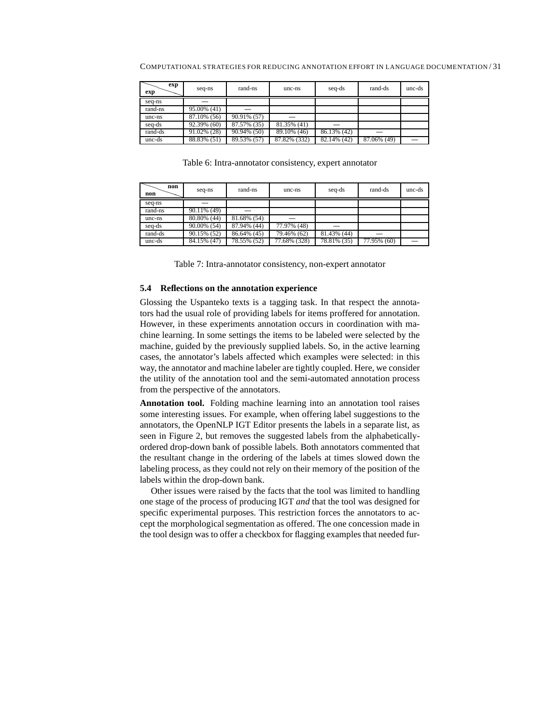COMPUTATIONAL STRATEGIES FOR REDUCING ANNOTATION EFFORT IN LANGUAGE DOCUMENTATION / 31

| exp<br>exp | seq-ns      | rand-ns     | unc-ns       | seq-ds      | rand-ds     | unc-ds |
|------------|-------------|-------------|--------------|-------------|-------------|--------|
| seq-ns     |             |             |              |             |             |        |
| rand-ns    | 95.00% (41) |             |              |             |             |        |
| unc-ns     | 87.10% (56) | 90.91% (57) |              |             |             |        |
| seq-ds     | 92.39% (60) | 87.57% (35) | 81.35% (41)  |             |             |        |
| rand-ds    | 91.02% (28) | 90.94% (50) | 89.10% (46)  | 86.13% (42) |             |        |
| unc-ds     | 88.83% (51) | 89.53% (57) | 87.82% (332) | 82.14% (42) | 87.06% (49) |        |

Table 6: Intra-annotator consistency, expert annotator

| non<br>non | seq-ns      | rand-ns     | unc-ns       | seq-ds      | rand-ds     | unc-ds |
|------------|-------------|-------------|--------------|-------------|-------------|--------|
| seq-ns     |             |             |              |             |             |        |
| rand-ns    | 90.11% (49) |             |              |             |             |        |
| unc-ns     | 80.80% (44) | 81.68% (54) |              |             |             |        |
| seq-ds     | 90.00% (54) | 87.94% (44) | 77.97% (48)  |             |             |        |
| rand-ds    | 90.15% (52) | 86.64% (45) | 79.46% (62)  | 81.43% (44) | -           |        |
| unc-ds     | 84.15% (47) | 78.55% (52) | 77.68% (328) | 78.81% (35) | 77.95% (60) |        |

Table 7: Intra-annotator consistency, non-expert annotator

#### **5.4 Reflections on the annotation experience**

Glossing the Uspanteko texts is a tagging task. In that respect the annotators had the usual role of providing labels for items proffered for annotation. However, in these experiments annotation occurs in coordination with machine learning. In some settings the items to be labeled were selected by the machine, guided by the previously supplied labels. So, in the active learning cases, the annotator's labels affected which examples were selected: in this way, the annotator and machine labeler are tightly coupled. Here, we consider the utility of the annotation tool and the semi-automated annotation process from the perspective of the annotators.

**Annotation tool.** Folding machine learning into an annotation tool raises some interesting issues. For example, when offering label suggestions to the annotators, the OpenNLP IGT Editor presents the labels in a separate list, as seen in Figure 2, but removes the suggested labels from the alphabeticallyordered drop-down bank of possible labels. Both annotators commented that the resultant change in the ordering of the labels at times slowed down the labeling process, as they could not rely on their memory of the position of the labels within the drop-down bank.

Other issues were raised by the facts that the tool was limited to handling one stage of the process of producing IGT *and* that the tool was designed for specific experimental purposes. This restriction forces the annotators to accept the morphological segmentation as offered. The one concession made in the tool design was to offer a checkbox for flagging examples that needed fur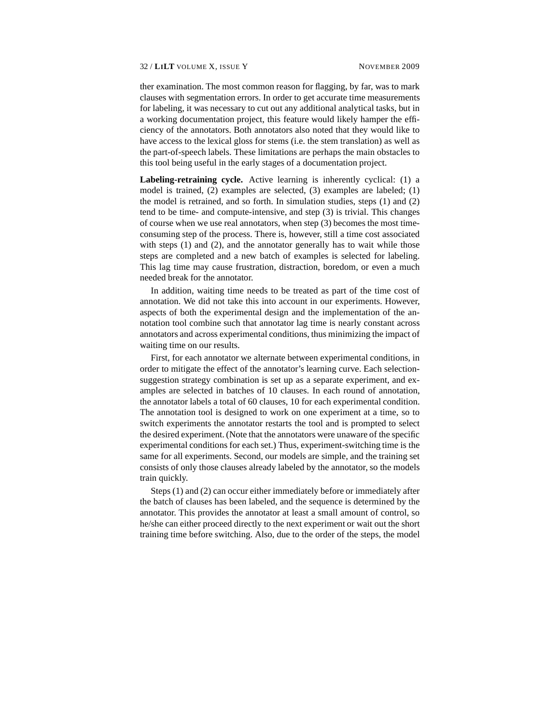ther examination. The most common reason for flagging, by far, was to mark clauses with segmentation errors. In order to get accurate time measurements for labeling, it was necessary to cut out any additional analytical tasks, but in a working documentation project, this feature would likely hamper the efficiency of the annotators. Both annotators also noted that they would like to have access to the lexical gloss for stems (i.e. the stem translation) as well as the part-of-speech labels. These limitations are perhaps the main obstacles to this tool being useful in the early stages of a documentation project.

**Labeling-retraining cycle.** Active learning is inherently cyclical: (1) a model is trained, (2) examples are selected, (3) examples are labeled; (1) the model is retrained, and so forth. In simulation studies, steps (1) and (2) tend to be time- and compute-intensive, and step (3) is trivial. This changes of course when we use real annotators, when step (3) becomes the most timeconsuming step of the process. There is, however, still a time cost associated with steps (1) and (2), and the annotator generally has to wait while those steps are completed and a new batch of examples is selected for labeling. This lag time may cause frustration, distraction, boredom, or even a much needed break for the annotator.

In addition, waiting time needs to be treated as part of the time cost of annotation. We did not take this into account in our experiments. However, aspects of both the experimental design and the implementation of the annotation tool combine such that annotator lag time is nearly constant across annotators and across experimental conditions, thus minimizing the impact of waiting time on our results.

First, for each annotator we alternate between experimental conditions, in order to mitigate the effect of the annotator's learning curve. Each selectionsuggestion strategy combination is set up as a separate experiment, and examples are selected in batches of 10 clauses. In each round of annotation, the annotator labels a total of 60 clauses, 10 for each experimental condition. The annotation tool is designed to work on one experiment at a time, so to switch experiments the annotator restarts the tool and is prompted to select the desired experiment. (Note that the annotators were unaware of the specific experimental conditions for each set.) Thus, experiment-switching time is the same for all experiments. Second, our models are simple, and the training set consists of only those clauses already labeled by the annotator, so the models train quickly.

Steps (1) and (2) can occur either immediately before or immediately after the batch of clauses has been labeled, and the sequence is determined by the annotator. This provides the annotator at least a small amount of control, so he/she can either proceed directly to the next experiment or wait out the short training time before switching. Also, due to the order of the steps, the model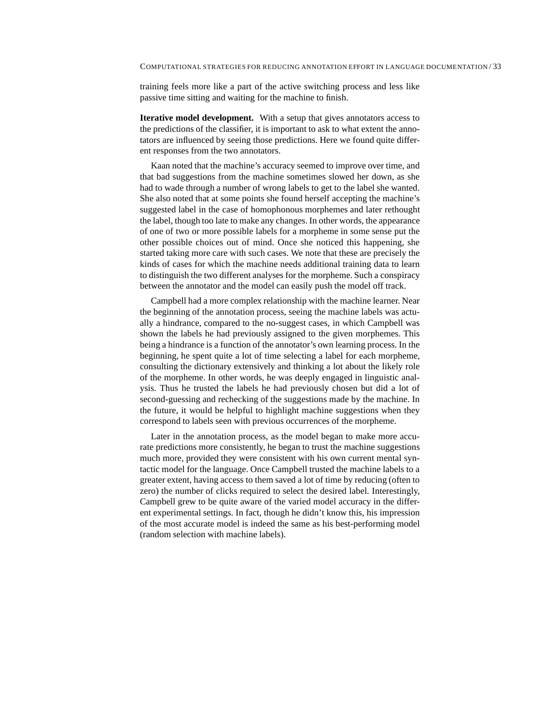training feels more like a part of the active switching process and less like passive time sitting and waiting for the machine to finish.

**Iterative model development.** With a setup that gives annotators access to the predictions of the classifier, it is important to ask to what extent the annotators are influenced by seeing those predictions. Here we found quite different responses from the two annotators.

Kaan noted that the machine's accuracy seemed to improve over time, and that bad suggestions from the machine sometimes slowed her down, as she had to wade through a number of wrong labels to get to the label she wanted. She also noted that at some points she found herself accepting the machine's suggested label in the case of homophonous morphemes and later rethought the label, though too late to make any changes. In other words, the appearance of one of two or more possible labels for a morpheme in some sense put the other possible choices out of mind. Once she noticed this happening, she started taking more care with such cases. We note that these are precisely the kinds of cases for which the machine needs additional training data to learn to distinguish the two different analyses for the morpheme. Such a conspiracy between the annotator and the model can easily push the model off track.

Campbell had a more complex relationship with the machine learner. Near the beginning of the annotation process, seeing the machine labels was actually a hindrance, compared to the no-suggest cases, in which Campbell was shown the labels he had previously assigned to the given morphemes. This being a hindrance is a function of the annotator's own learning process. In the beginning, he spent quite a lot of time selecting a label for each morpheme, consulting the dictionary extensively and thinking a lot about the likely role of the morpheme. In other words, he was deeply engaged in linguistic analysis. Thus he trusted the labels he had previously chosen but did a lot of second-guessing and rechecking of the suggestions made by the machine. In the future, it would be helpful to highlight machine suggestions when they correspond to labels seen with previous occurrences of the morpheme.

Later in the annotation process, as the model began to make more accurate predictions more consistently, he began to trust the machine suggestions much more, provided they were consistent with his own current mental syntactic model for the language. Once Campbell trusted the machine labels to a greater extent, having access to them saved a lot of time by reducing (often to zero) the number of clicks required to select the desired label. Interestingly, Campbell grew to be quite aware of the varied model accuracy in the different experimental settings. In fact, though he didn't know this, his impression of the most accurate model is indeed the same as his best-performing model (random selection with machine labels).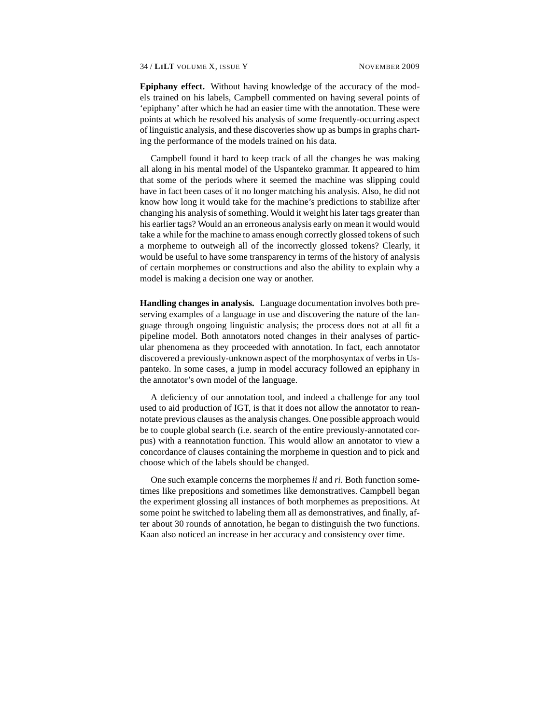**Epiphany effect.** Without having knowledge of the accuracy of the models trained on his labels, Campbell commented on having several points of 'epiphany' after which he had an easier time with the annotation. These were points at which he resolved his analysis of some frequently-occurring aspect of linguistic analysis, and these discoveries show up as bumps in graphs charting the performance of the models trained on his data.

Campbell found it hard to keep track of all the changes he was making all along in his mental model of the Uspanteko grammar. It appeared to him that some of the periods where it seemed the machine was slipping could have in fact been cases of it no longer matching his analysis. Also, he did not know how long it would take for the machine's predictions to stabilize after changing his analysis of something. Would it weight his later tags greater than his earlier tags? Would an an erroneous analysis early on mean it would would take a while for the machine to amass enough correctly glossed tokens of such a morpheme to outweigh all of the incorrectly glossed tokens? Clearly, it would be useful to have some transparency in terms of the history of analysis of certain morphemes or constructions and also the ability to explain why a model is making a decision one way or another.

**Handling changes in analysis.** Language documentation involves both preserving examples of a language in use and discovering the nature of the language through ongoing linguistic analysis; the process does not at all fit a pipeline model. Both annotators noted changes in their analyses of particular phenomena as they proceeded with annotation. In fact, each annotator discovered a previously-unknown aspect of the morphosyntax of verbs in Uspanteko. In some cases, a jump in model accuracy followed an epiphany in the annotator's own model of the language.

A deficiency of our annotation tool, and indeed a challenge for any tool used to aid production of IGT, is that it does not allow the annotator to reannotate previous clauses as the analysis changes. One possible approach would be to couple global search (i.e. search of the entire previously-annotated corpus) with a reannotation function. This would allow an annotator to view a concordance of clauses containing the morpheme in question and to pick and choose which of the labels should be changed.

One such example concerns the morphemes *li* and *ri*. Both function sometimes like prepositions and sometimes like demonstratives. Campbell began the experiment glossing all instances of both morphemes as prepositions. At some point he switched to labeling them all as demonstratives, and finally, after about 30 rounds of annotation, he began to distinguish the two functions. Kaan also noticed an increase in her accuracy and consistency over time.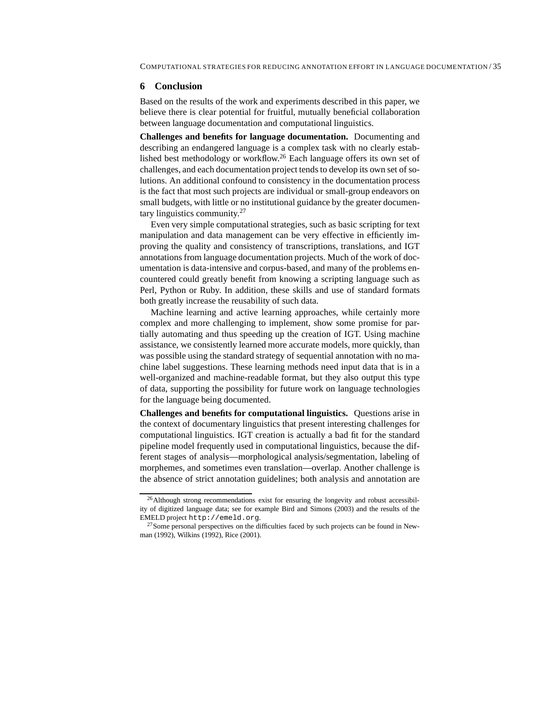#### **6 Conclusion**

Based on the results of the work and experiments described in this paper, we believe there is clear potential for fruitful, mutually beneficial collaboration between language documentation and computational linguistics.

**Challenges and benefits for language documentation.** Documenting and describing an endangered language is a complex task with no clearly established best methodology or workflow.<sup>26</sup> Each language offers its own set of challenges, and each documentation project tends to develop its own set of solutions. An additional confound to consistency in the documentation process is the fact that most such projects are individual or small-group endeavors on small budgets, with little or no institutional guidance by the greater documentary linguistics community.<sup>27</sup>

Even very simple computational strategies, such as basic scripting for text manipulation and data management can be very effective in efficiently improving the quality and consistency of transcriptions, translations, and IGT annotations from language documentation projects. Much of the work of documentation is data-intensive and corpus-based, and many of the problems encountered could greatly benefit from knowing a scripting language such as Perl, Python or Ruby. In addition, these skills and use of standard formats both greatly increase the reusability of such data.

Machine learning and active learning approaches, while certainly more complex and more challenging to implement, show some promise for partially automating and thus speeding up the creation of IGT. Using machine assistance, we consistently learned more accurate models, more quickly, than was possible using the standard strategy of sequential annotation with no machine label suggestions. These learning methods need input data that is in a well-organized and machine-readable format, but they also output this type of data, supporting the possibility for future work on language technologies for the language being documented.

**Challenges and benefits for computational linguistics.** Questions arise in the context of documentary linguistics that present interesting challenges for computational linguistics. IGT creation is actually a bad fit for the standard pipeline model frequently used in computational linguistics, because the different stages of analysis—morphological analysis/segmentation, labeling of morphemes, and sometimes even translation—overlap. Another challenge is the absence of strict annotation guidelines; both analysis and annotation are

<sup>&</sup>lt;sup>26</sup>Although strong recommendations exist for ensuring the longevity and robust accessibility of digitized language data; see for example Bird and Simons (2003) and the results of the EMELD project http://emeld.org.

 $^{27}$ Some personal perspectives on the difficulties faced by such projects can be found in Newman (1992), Wilkins (1992), Rice (2001).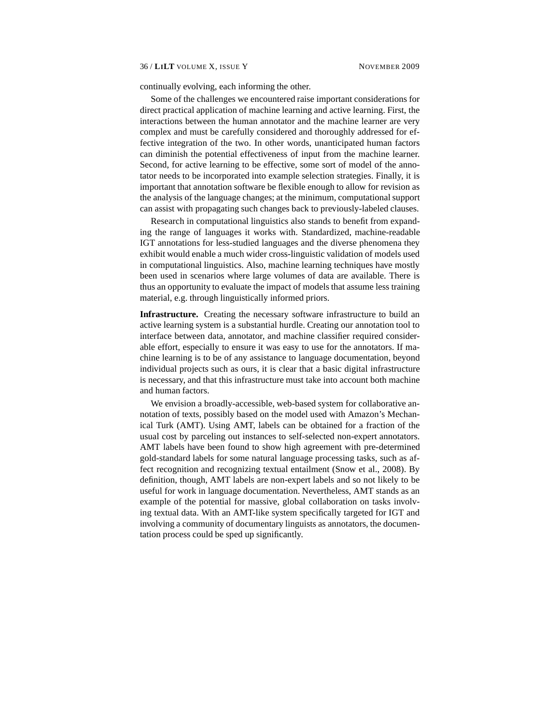continually evolving, each informing the other.

Some of the challenges we encountered raise important considerations for direct practical application of machine learning and active learning. First, the interactions between the human annotator and the machine learner are very complex and must be carefully considered and thoroughly addressed for effective integration of the two. In other words, unanticipated human factors can diminish the potential effectiveness of input from the machine learner. Second, for active learning to be effective, some sort of model of the annotator needs to be incorporated into example selection strategies. Finally, it is important that annotation software be flexible enough to allow for revision as the analysis of the language changes; at the minimum, computational support can assist with propagating such changes back to previously-labeled clauses.

Research in computational linguistics also stands to benefit from expanding the range of languages it works with. Standardized, machine-readable IGT annotations for less-studied languages and the diverse phenomena they exhibit would enable a much wider cross-linguistic validation of models used in computational linguistics. Also, machine learning techniques have mostly been used in scenarios where large volumes of data are available. There is thus an opportunity to evaluate the impact of models that assume less training material, e.g. through linguistically informed priors.

**Infrastructure.** Creating the necessary software infrastructure to build an active learning system is a substantial hurdle. Creating our annotation tool to interface between data, annotator, and machine classifier required considerable effort, especially to ensure it was easy to use for the annotators. If machine learning is to be of any assistance to language documentation, beyond individual projects such as ours, it is clear that a basic digital infrastructure is necessary, and that this infrastructure must take into account both machine and human factors.

We envision a broadly-accessible, web-based system for collaborative annotation of texts, possibly based on the model used with Amazon's Mechanical Turk (AMT). Using AMT, labels can be obtained for a fraction of the usual cost by parceling out instances to self-selected non-expert annotators. AMT labels have been found to show high agreement with pre-determined gold-standard labels for some natural language processing tasks, such as affect recognition and recognizing textual entailment (Snow et al., 2008). By definition, though, AMT labels are non-expert labels and so not likely to be useful for work in language documentation. Nevertheless, AMT stands as an example of the potential for massive, global collaboration on tasks involving textual data. With an AMT-like system specifically targeted for IGT and involving a community of documentary linguists as annotators, the documentation process could be sped up significantly.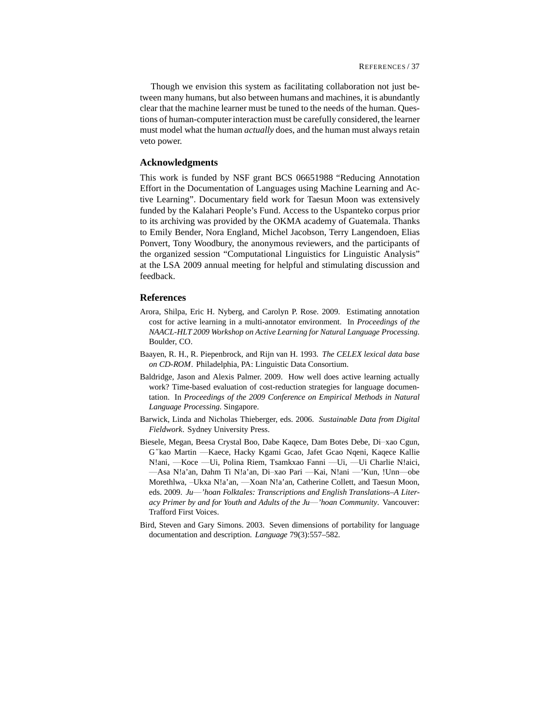Though we envision this system as facilitating collaboration not just between many humans, but also between humans and machines, it is abundantly clear that the machine learner must be tuned to the needs of the human. Questions of human-computer interaction must be carefully considered, the learner must model what the human *actually* does, and the human must always retain veto power.

# **Acknowledgments**

This work is funded by NSF grant BCS 06651988 "Reducing Annotation Effort in the Documentation of Languages using Machine Learning and Active Learning". Documentary field work for Taesun Moon was extensively funded by the Kalahari People's Fund. Access to the Uspanteko corpus prior to its archiving was provided by the OKMA academy of Guatemala. Thanks to Emily Bender, Nora England, Michel Jacobson, Terry Langendoen, Elias Ponvert, Tony Woodbury, the anonymous reviewers, and the participants of the organized session "Computational Linguistics for Linguistic Analysis" at the LSA 2009 annual meeting for helpful and stimulating discussion and feedback.

## **References**

- Arora, Shilpa, Eric H. Nyberg, and Carolyn P. Rose. 2009. Estimating annotation cost for active learning in a multi-annotator environment. In *Proceedings of the NAACL-HLT 2009 Workshop on Active Learning for Natural Language Processing*. Boulder, CO.
- Baayen, R. H., R. Piepenbrock, and Rijn van H. 1993. *The CELEX lexical data base on CD-ROM*. Philadelphia, PA: Linguistic Data Consortium.
- Baldridge, Jason and Alexis Palmer. 2009. How well does active learning actually work? Time-based evaluation of cost-reduction strategies for language documentation. In *Proceedings of the 2009 Conference on Empirical Methods in Natural Language Processing*. Singapore.
- Barwick, Linda and Nicholas Thieberger, eds. 2006. *Sustainable Data from Digital Fieldwork*. Sydney University Press.
- Biesele, Megan, Beesa Crystal Boo, Dabe Kaqece, Dam Botes Debe, Di–xao Cgun, G˝kao Martin —Kaece, Hacky Kgami Gcao, Jafet Gcao Nqeni, Kaqece Kallie N!ani, —Koce —Ui, Polina Riem, Tsamkxao Fanni —Ui, —Ui Charlie N!aici, —Asa N!a'an, Dahm Ti N!a'an, Di–xao Pari —Kai, N!ani —'Kun, !Unn—obe Morethlwa, –Ukxa N!a'an, —Xoan N!a'an, Catherine Collett, and Taesun Moon, eds. 2009. *Ju*—*'hoan Folktales: Transcriptions and English Translations–A Literacy Primer by and for Youth and Adults of the Ju*—*'hoan Community*. Vancouver: Trafford First Voices.
- Bird, Steven and Gary Simons. 2003. Seven dimensions of portability for language documentation and description. *Language* 79(3):557–582.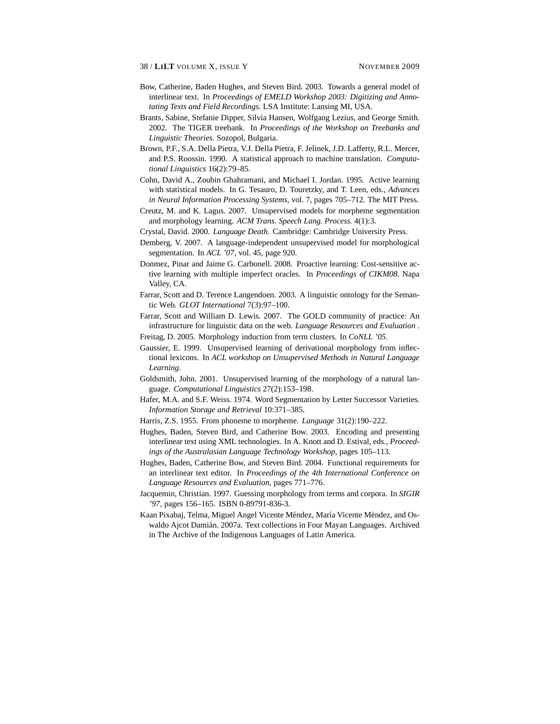- Bow, Catherine, Baden Hughes, and Steven Bird. 2003. Towards a general model of interlinear text. In *Proceedings of EMELD Workshop 2003: Digitizing and Annotating Texts and Field Recordings*. LSA Institute: Lansing MI, USA.
- Brants, Sabine, Stefanie Dipper, Silvia Hansen, Wolfgang Lezius, and George Smith. 2002. The TIGER treebank. In *Proceedings of the Workshop on Treebanks and Linguistic Theories*. Sozopol, Bulgaria.
- Brown, P.F., S.A. Della Pietra, V.J. Della Pietra, F. Jelinek, J.D. Lafferty, R.L. Mercer, and P.S. Roossin. 1990. A statistical approach to machine translation. *Computational Linguistics* 16(2):79–85.
- Cohn, David A., Zoubin Ghahramani, and Michael I. Jordan. 1995. Active learning with statistical models. In G. Tesauro, D. Touretzky, and T. Leen, eds., *Advances in Neural Information Processing Systems*, vol. 7, pages 705–712. The MIT Press.
- Creutz, M. and K. Lagus. 2007. Unsupervised models for morpheme segmentation and morphology learning. *ACM Trans. Speech Lang. Process.* 4(1):3.
- Crystal, David. 2000. *Language Death*. Cambridge: Cambridge University Press.
- Demberg, V. 2007. A language-independent unsupervised model for morphological segmentation. In *ACL '07*, vol. 45, page 920.
- Donmez, Pinar and Jaime G. Carbonell. 2008. Proactive learning: Cost-sensitive active learning with multiple imperfect oracles. In *Proceedings of CIKM08*. Napa Valley, CA.
- Farrar, Scott and D. Terence Langendoen. 2003. A linguistic ontology for the Semantic Web. *GLOT International* 7(3):97–100.
- Farrar, Scott and William D. Lewis. 2007. The GOLD community of practice: An infrastructure for linguistic data on the web. *Language Resources and Evaluation* .
- Freitag, D. 2005. Morphology induction from term clusters. In *CoNLL '05*.
- Gaussier, E. 1999. Unsupervised learning of derivational morphology from inflectional lexicons. In *ACL workshop on Unsupervised Methods in Natural Language Learning*.
- Goldsmith, John. 2001. Unsupervised learning of the morphology of a natural language. *Computational Linguistics* 27(2):153–198.
- Hafer, M.A. and S.F. Weiss. 1974. Word Segmentation by Letter Successor Varieties. *Information Storage and Retrieval* 10:371–385.
- Harris, Z.S. 1955. From phoneme to morpheme. *Language* 31(2):190–222.
- Hughes, Baden, Steven Bird, and Catherine Bow. 2003. Encoding and presenting interlinear text using XML technologies. In A. Knott and D. Estival, eds., *Proceedings of the Australasian Language Technology Workshop*, pages 105–113.
- Hughes, Baden, Catherine Bow, and Steven Bird. 2004. Functional requirements for an interlinear text editor. In *Proceedings of the 4th International Conference on Language Resources and Evaluation*, pages 771–776.
- Jacquemin, Christian. 1997. Guessing morphology from terms and corpora. In *SIGIR '97*, pages 156–165. ISBN 0-89791-836-3.
- Kaan Pixabaj, Telma, Miguel Angel Vicente Méndez, María Vicente Méndez, and Oswaldo Ajcot Damián. 2007a. Text collections in Four Mayan Languages. Archived in The Archive of the Indigenous Languages of Latin America.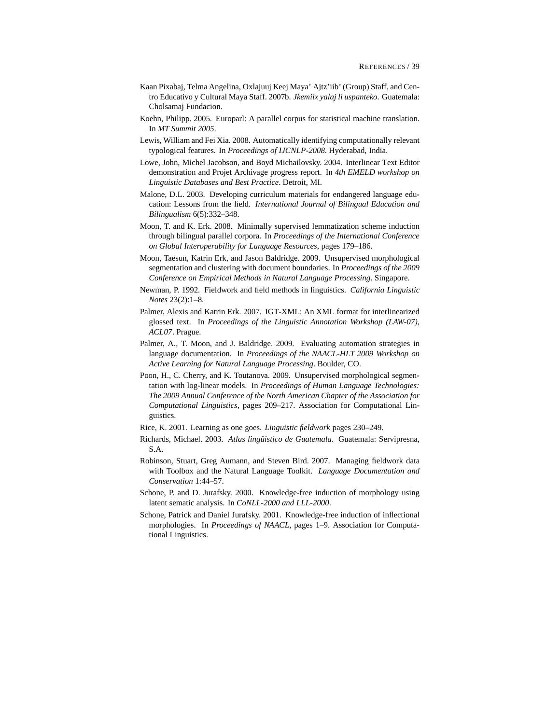- Kaan Pixabaj, Telma Angelina, Oxlajuuj Keej Maya' Ajtz'iib' (Group) Staff, and Centro Educativo y Cultural Maya Staff. 2007b. *Jkemiix yalaj li uspanteko*. Guatemala: Cholsamaj Fundacion.
- Koehn, Philipp. 2005. Europarl: A parallel corpus for statistical machine translation. In *MT Summit 2005*.
- Lewis, William and Fei Xia. 2008. Automatically identifying computationally relevant typological features. In *Proceedings of IJCNLP-2008*. Hyderabad, India.
- Lowe, John, Michel Jacobson, and Boyd Michailovsky. 2004. Interlinear Text Editor demonstration and Projet Archivage progress report. In *4th EMELD workshop on Linguistic Databases and Best Practice*. Detroit, MI.
- Malone, D.L. 2003. Developing curriculum materials for endangered language education: Lessons from the field. *International Journal of Bilingual Education and Bilingualism* 6(5):332–348.
- Moon, T. and K. Erk. 2008. Minimally supervised lemmatization scheme induction through bilingual parallel corpora. In *Proceedings of the International Conference on Global Interoperability for Language Resources*, pages 179–186.
- Moon, Taesun, Katrin Erk, and Jason Baldridge. 2009. Unsupervised morphological segmentation and clustering with document boundaries. In *Proceedings of the 2009 Conference on Empirical Methods in Natural Language Processing*. Singapore.
- Newman, P. 1992. Fieldwork and field methods in linguistics. *California Linguistic Notes* 23(2):1–8.
- Palmer, Alexis and Katrin Erk. 2007. IGT-XML: An XML format for interlinearized glossed text. In *Proceedings of the Linguistic Annotation Workshop (LAW-07), ACL07*. Prague.
- Palmer, A., T. Moon, and J. Baldridge. 2009. Evaluating automation strategies in language documentation. In *Proceedings of the NAACL-HLT 2009 Workshop on Active Learning for Natural Language Processing*. Boulder, CO.
- Poon, H., C. Cherry, and K. Toutanova. 2009. Unsupervised morphological segmentation with log-linear models. In *Proceedings of Human Language Technologies: The 2009 Annual Conference of the North American Chapter of the Association for Computational Linguistics*, pages 209–217. Association for Computational Linguistics.
- Rice, K. 2001. Learning as one goes. *Linguistic fieldwork* pages 230–249.
- Richards, Michael. 2003. *Atlas lingüístico de Guatemala*. Guatemala: Servipresna, S.A.
- Robinson, Stuart, Greg Aumann, and Steven Bird. 2007. Managing fieldwork data with Toolbox and the Natural Language Toolkit. *Language Documentation and Conservation* 1:44–57.
- Schone, P. and D. Jurafsky. 2000. Knowledge-free induction of morphology using latent sematic analysis. In *CoNLL-2000 and LLL-2000*.
- Schone, Patrick and Daniel Jurafsky. 2001. Knowledge-free induction of inflectional morphologies. In *Proceedings of NAACL*, pages 1–9. Association for Computational Linguistics.